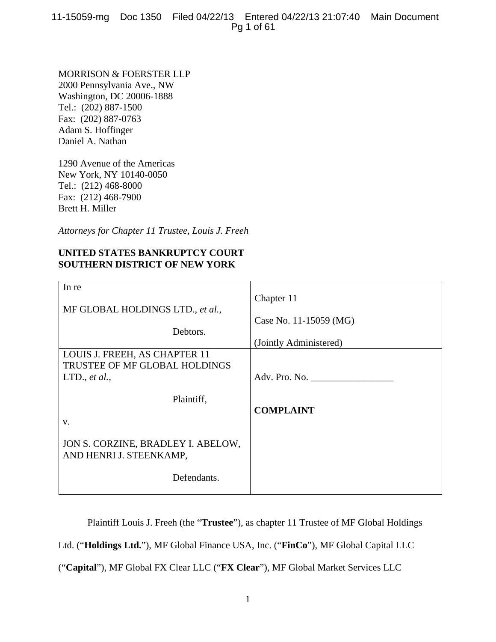11-15059-mg Doc 1350 Filed 04/22/13 Entered 04/22/13 21:07:40 Main Document Pg 1 of 61

MORRISON & FOERSTER LLP 2000 Pennsylvania Ave., NW Washington, DC 20006-1888 Tel.: (202) 887-1500 Fax: (202) 887-0763 Adam S. Hoffinger Daniel A. Nathan

1290 Avenue of the Americas New York, NY 10140-0050 Tel.: (212) 468-8000 Fax: (212) 468-7900 Brett H. Miller

*Attorneys for Chapter 11 Trustee, Louis J. Freeh* 

# **UNITED STATES BANKRUPTCY COURT SOUTHERN DISTRICT OF NEW YORK**

| In re                              |                        |
|------------------------------------|------------------------|
|                                    | Chapter 11             |
| MF GLOBAL HOLDINGS LTD., et al.,   |                        |
|                                    |                        |
|                                    | Case No. 11-15059 (MG) |
| Debtors.                           |                        |
|                                    | (Jointly Administered) |
| LOUIS J. FREEH, AS CHAPTER 11      |                        |
|                                    |                        |
| TRUSTEE OF MF GLOBAL HOLDINGS      |                        |
| LTD., $et al.,$                    | Adv. Pro. No.          |
|                                    |                        |
|                                    |                        |
| Plaintiff,                         |                        |
|                                    | <b>COMPLAINT</b>       |
| V.                                 |                        |
|                                    |                        |
|                                    |                        |
| JON S. CORZINE, BRADLEY I. ABELOW, |                        |
| AND HENRI J. STEENKAMP,            |                        |
|                                    |                        |
|                                    |                        |
| Defendants.                        |                        |
|                                    |                        |

Plaintiff Louis J. Freeh (the "**Trustee**"), as chapter 11 Trustee of MF Global Holdings

Ltd. ("**Holdings Ltd.**"), MF Global Finance USA, Inc. ("**FinCo**"), MF Global Capital LLC

("**Capital**"), MF Global FX Clear LLC ("**FX Clear**"), MF Global Market Services LLC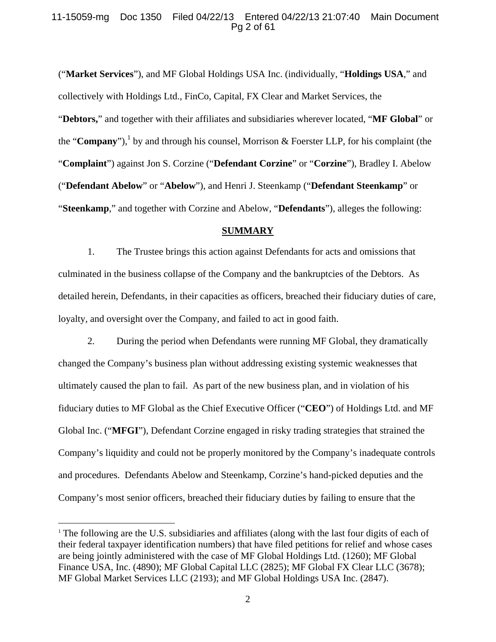## 11-15059-mg Doc 1350 Filed 04/22/13 Entered 04/22/13 21:07:40 Main Document Pg 2 of 61

("**Market Services**"), and MF Global Holdings USA Inc. (individually, "**Holdings USA**," and collectively with Holdings Ltd., FinCo, Capital, FX Clear and Market Services, the "**Debtors,**" and together with their affiliates and subsidiaries wherever located, "**MF Global**" or the "**Company**"),<sup>1</sup> by and through his counsel, Morrison & Foerster LLP, for his complaint (the "**Complaint**") against Jon S. Corzine ("**Defendant Corzine**" or "**Corzine**"), Bradley I. Abelow ("**Defendant Abelow**" or "**Abelow**"), and Henri J. Steenkamp ("**Defendant Steenkamp**" or "**Steenkamp**," and together with Corzine and Abelow, "**Defendants**"), alleges the following:

#### **SUMMARY**

1. The Trustee brings this action against Defendants for acts and omissions that culminated in the business collapse of the Company and the bankruptcies of the Debtors. As detailed herein, Defendants, in their capacities as officers, breached their fiduciary duties of care, loyalty, and oversight over the Company, and failed to act in good faith.

2. During the period when Defendants were running MF Global, they dramatically changed the Company's business plan without addressing existing systemic weaknesses that ultimately caused the plan to fail. As part of the new business plan, and in violation of his fiduciary duties to MF Global as the Chief Executive Officer ("**CEO**") of Holdings Ltd. and MF Global Inc. ("**MFGI**"), Defendant Corzine engaged in risky trading strategies that strained the Company's liquidity and could not be properly monitored by the Company's inadequate controls and procedures. Defendants Abelow and Steenkamp, Corzine's hand-picked deputies and the Company's most senior officers, breached their fiduciary duties by failing to ensure that the

<sup>&</sup>lt;sup>1</sup> The following are the U.S. subsidiaries and affiliates (along with the last four digits of each of their federal taxpayer identification numbers) that have filed petitions for relief and whose cases are being jointly administered with the case of MF Global Holdings Ltd. (1260); MF Global Finance USA, Inc. (4890); MF Global Capital LLC (2825); MF Global FX Clear LLC (3678); MF Global Market Services LLC (2193); and MF Global Holdings USA Inc. (2847).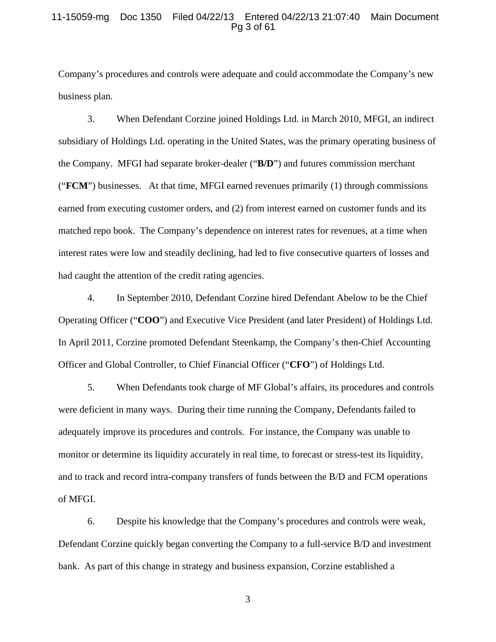## 11-15059-mg Doc 1350 Filed 04/22/13 Entered 04/22/13 21:07:40 Main Document Pg 3 of 61

Company's procedures and controls were adequate and could accommodate the Company's new business plan.

3. When Defendant Corzine joined Holdings Ltd. in March 2010, MFGI, an indirect subsidiary of Holdings Ltd. operating in the United States, was the primary operating business of the Company. MFGI had separate broker-dealer ("**B/D**") and futures commission merchant ("**FCM**") businesses. At that time, MFGI earned revenues primarily (1) through commissions earned from executing customer orders, and (2) from interest earned on customer funds and its matched repo book. The Company's dependence on interest rates for revenues, at a time when interest rates were low and steadily declining, had led to five consecutive quarters of losses and had caught the attention of the credit rating agencies.

4. In September 2010, Defendant Corzine hired Defendant Abelow to be the Chief Operating Officer ("**COO**") and Executive Vice President (and later President) of Holdings Ltd. In April 2011, Corzine promoted Defendant Steenkamp, the Company's then-Chief Accounting Officer and Global Controller, to Chief Financial Officer ("**CFO**") of Holdings Ltd.

5. When Defendants took charge of MF Global's affairs, its procedures and controls were deficient in many ways. During their time running the Company, Defendants failed to adequately improve its procedures and controls. For instance, the Company was unable to monitor or determine its liquidity accurately in real time, to forecast or stress-test its liquidity, and to track and record intra-company transfers of funds between the B/D and FCM operations of MFGI.

6. Despite his knowledge that the Company's procedures and controls were weak, Defendant Corzine quickly began converting the Company to a full-service B/D and investment bank. As part of this change in strategy and business expansion, Corzine established a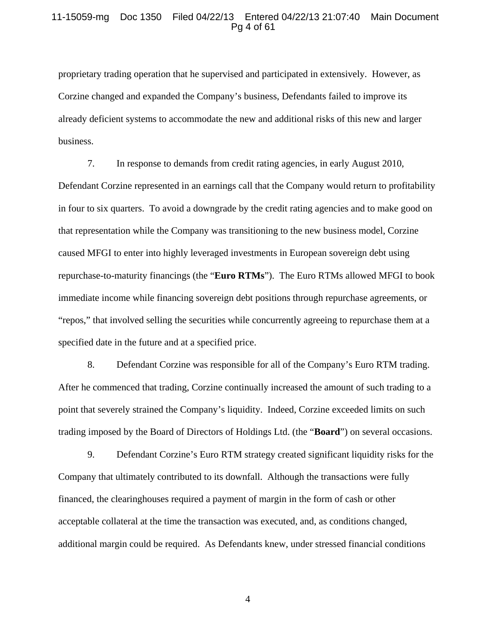## 11-15059-mg Doc 1350 Filed 04/22/13 Entered 04/22/13 21:07:40 Main Document Pg 4 of 61

proprietary trading operation that he supervised and participated in extensively. However, as Corzine changed and expanded the Company's business, Defendants failed to improve its already deficient systems to accommodate the new and additional risks of this new and larger business.

7. In response to demands from credit rating agencies, in early August 2010, Defendant Corzine represented in an earnings call that the Company would return to profitability in four to six quarters. To avoid a downgrade by the credit rating agencies and to make good on that representation while the Company was transitioning to the new business model, Corzine caused MFGI to enter into highly leveraged investments in European sovereign debt using repurchase-to-maturity financings (the "**Euro RTMs**"). The Euro RTMs allowed MFGI to book immediate income while financing sovereign debt positions through repurchase agreements, or "repos," that involved selling the securities while concurrently agreeing to repurchase them at a specified date in the future and at a specified price.

8. Defendant Corzine was responsible for all of the Company's Euro RTM trading. After he commenced that trading, Corzine continually increased the amount of such trading to a point that severely strained the Company's liquidity. Indeed, Corzine exceeded limits on such trading imposed by the Board of Directors of Holdings Ltd. (the "**Board**") on several occasions.

9. Defendant Corzine's Euro RTM strategy created significant liquidity risks for the Company that ultimately contributed to its downfall. Although the transactions were fully financed, the clearinghouses required a payment of margin in the form of cash or other acceptable collateral at the time the transaction was executed, and, as conditions changed, additional margin could be required. As Defendants knew, under stressed financial conditions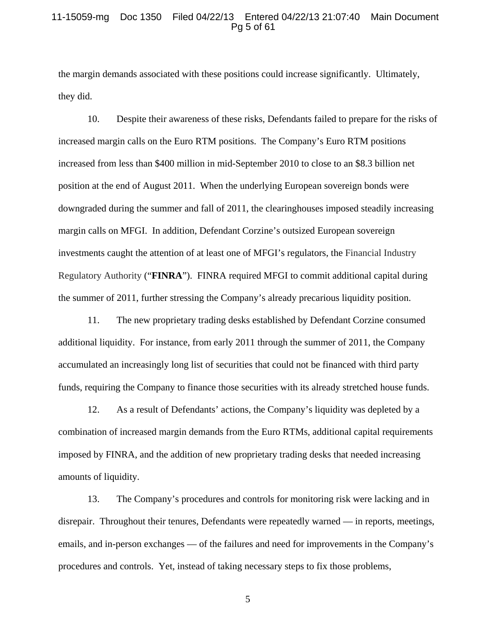#### 11-15059-mg Doc 1350 Filed 04/22/13 Entered 04/22/13 21:07:40 Main Document Pg 5 of 61

the margin demands associated with these positions could increase significantly. Ultimately, they did.

10. Despite their awareness of these risks, Defendants failed to prepare for the risks of increased margin calls on the Euro RTM positions. The Company's Euro RTM positions increased from less than \$400 million in mid-September 2010 to close to an \$8.3 billion net position at the end of August 2011. When the underlying European sovereign bonds were downgraded during the summer and fall of 2011, the clearinghouses imposed steadily increasing margin calls on MFGI. In addition, Defendant Corzine's outsized European sovereign investments caught the attention of at least one of MFGI's regulators, the Financial Industry Regulatory Authority ("**FINRA**"). FINRA required MFGI to commit additional capital during the summer of 2011, further stressing the Company's already precarious liquidity position.

11. The new proprietary trading desks established by Defendant Corzine consumed additional liquidity. For instance, from early 2011 through the summer of 2011, the Company accumulated an increasingly long list of securities that could not be financed with third party funds, requiring the Company to finance those securities with its already stretched house funds.

12. As a result of Defendants' actions, the Company's liquidity was depleted by a combination of increased margin demands from the Euro RTMs, additional capital requirements imposed by FINRA, and the addition of new proprietary trading desks that needed increasing amounts of liquidity.

13. The Company's procedures and controls for monitoring risk were lacking and in disrepair. Throughout their tenures, Defendants were repeatedly warned — in reports, meetings, emails, and in-person exchanges — of the failures and need for improvements in the Company's procedures and controls. Yet, instead of taking necessary steps to fix those problems,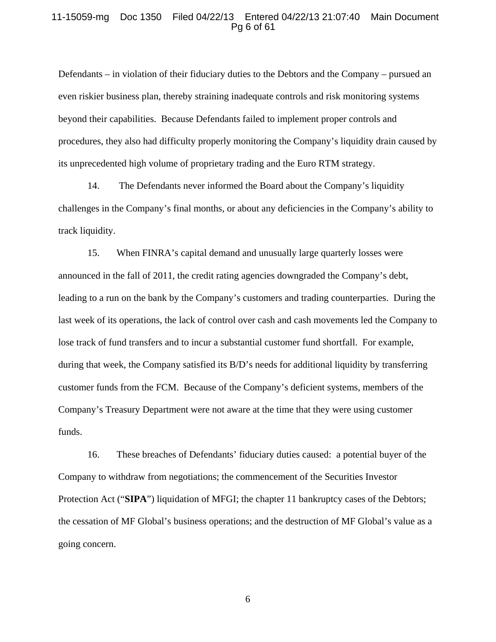#### 11-15059-mg Doc 1350 Filed 04/22/13 Entered 04/22/13 21:07:40 Main Document Pg 6 of 61

Defendants – in violation of their fiduciary duties to the Debtors and the Company – pursued an even riskier business plan, thereby straining inadequate controls and risk monitoring systems beyond their capabilities. Because Defendants failed to implement proper controls and procedures, they also had difficulty properly monitoring the Company's liquidity drain caused by its unprecedented high volume of proprietary trading and the Euro RTM strategy.

14. The Defendants never informed the Board about the Company's liquidity challenges in the Company's final months, or about any deficiencies in the Company's ability to track liquidity.

15. When FINRA's capital demand and unusually large quarterly losses were announced in the fall of 2011, the credit rating agencies downgraded the Company's debt, leading to a run on the bank by the Company's customers and trading counterparties. During the last week of its operations, the lack of control over cash and cash movements led the Company to lose track of fund transfers and to incur a substantial customer fund shortfall. For example, during that week, the Company satisfied its B/D's needs for additional liquidity by transferring customer funds from the FCM. Because of the Company's deficient systems, members of the Company's Treasury Department were not aware at the time that they were using customer funds.

16. These breaches of Defendants' fiduciary duties caused: a potential buyer of the Company to withdraw from negotiations; the commencement of the Securities Investor Protection Act ("**SIPA**") liquidation of MFGI; the chapter 11 bankruptcy cases of the Debtors; the cessation of MF Global's business operations; and the destruction of MF Global's value as a going concern.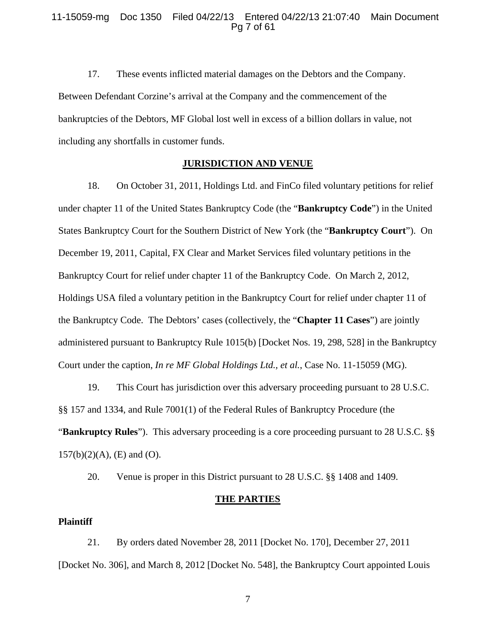#### 11-15059-mg Doc 1350 Filed 04/22/13 Entered 04/22/13 21:07:40 Main Document Pg 7 of 61

17. These events inflicted material damages on the Debtors and the Company. Between Defendant Corzine's arrival at the Company and the commencement of the bankruptcies of the Debtors, MF Global lost well in excess of a billion dollars in value, not including any shortfalls in customer funds.

#### **JURISDICTION AND VENUE**

18. On October 31, 2011, Holdings Ltd. and FinCo filed voluntary petitions for relief under chapter 11 of the United States Bankruptcy Code (the "**Bankruptcy Code**") in the United States Bankruptcy Court for the Southern District of New York (the "**Bankruptcy Court**"). On December 19, 2011, Capital, FX Clear and Market Services filed voluntary petitions in the Bankruptcy Court for relief under chapter 11 of the Bankruptcy Code. On March 2, 2012, Holdings USA filed a voluntary petition in the Bankruptcy Court for relief under chapter 11 of the Bankruptcy Code. The Debtors' cases (collectively, the "**Chapter 11 Cases**") are jointly administered pursuant to Bankruptcy Rule 1015(b) [Docket Nos. 19, 298, 528] in the Bankruptcy Court under the caption, *In re MF Global Holdings Ltd., et al.*, Case No. 11-15059 (MG).

19. This Court has jurisdiction over this adversary proceeding pursuant to 28 U.S.C. §§ 157 and 1334, and Rule 7001(1) of the Federal Rules of Bankruptcy Procedure (the "**Bankruptcy Rules**"). This adversary proceeding is a core proceeding pursuant to 28 U.S.C. §§  $157(b)(2)(A)$ , (E) and (O).

20. Venue is proper in this District pursuant to 28 U.S.C. §§ 1408 and 1409.

## **THE PARTIES**

## **Plaintiff**

21. By orders dated November 28, 2011 [Docket No. 170], December 27, 2011 [Docket No. 306], and March 8, 2012 [Docket No. 548], the Bankruptcy Court appointed Louis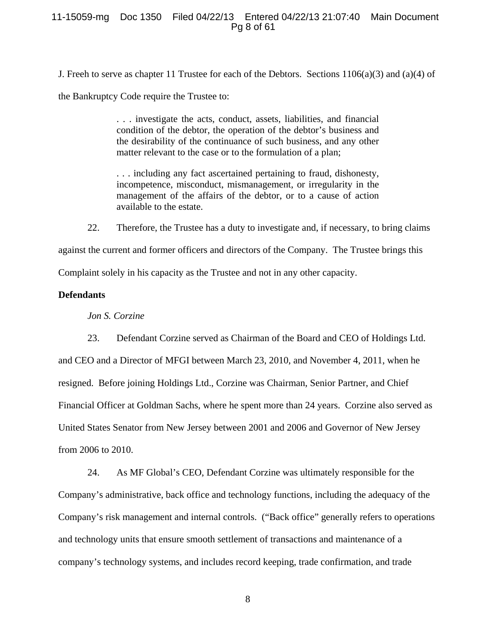## 11-15059-mg Doc 1350 Filed 04/22/13 Entered 04/22/13 21:07:40 Main Document Pg 8 of 61

J. Freeh to serve as chapter 11 Trustee for each of the Debtors. Sections  $1106(a)(3)$  and  $(a)(4)$  of

the Bankruptcy Code require the Trustee to:

. . . investigate the acts, conduct, assets, liabilities, and financial condition of the debtor, the operation of the debtor's business and the desirability of the continuance of such business, and any other matter relevant to the case or to the formulation of a plan;

. . . including any fact ascertained pertaining to fraud, dishonesty, incompetence, misconduct, mismanagement, or irregularity in the management of the affairs of the debtor, or to a cause of action available to the estate.

22. Therefore, the Trustee has a duty to investigate and, if necessary, to bring claims against the current and former officers and directors of the Company. The Trustee brings this Complaint solely in his capacity as the Trustee and not in any other capacity.

# **Defendants**

*Jon S. Corzine* 

23. Defendant Corzine served as Chairman of the Board and CEO of Holdings Ltd. and CEO and a Director of MFGI between March 23, 2010, and November 4, 2011, when he resigned. Before joining Holdings Ltd., Corzine was Chairman, Senior Partner, and Chief Financial Officer at Goldman Sachs, where he spent more than 24 years. Corzine also served as United States Senator from New Jersey between 2001 and 2006 and Governor of New Jersey from 2006 to 2010.

24. As MF Global's CEO, Defendant Corzine was ultimately responsible for the Company's administrative, back office and technology functions, including the adequacy of the Company's risk management and internal controls. ("Back office" generally refers to operations and technology units that ensure smooth settlement of transactions and maintenance of a company's technology systems, and includes record keeping, trade confirmation, and trade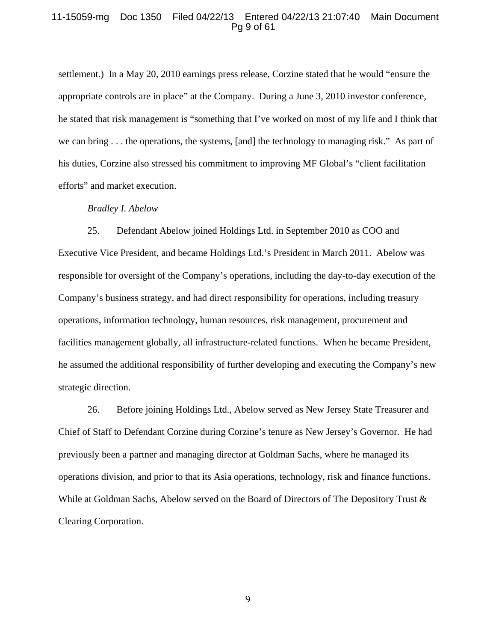## 11-15059-mg Doc 1350 Filed 04/22/13 Entered 04/22/13 21:07:40 Main Document Pg 9 of 61

settlement.) In a May 20, 2010 earnings press release, Corzine stated that he would "ensure the appropriate controls are in place" at the Company. During a June 3, 2010 investor conference, he stated that risk management is "something that I've worked on most of my life and I think that we can bring . . . the operations, the systems, [and] the technology to managing risk." As part of his duties, Corzine also stressed his commitment to improving MF Global's "client facilitation efforts" and market execution.

#### *Bradley I. Abelow*

25. Defendant Abelow joined Holdings Ltd. in September 2010 as COO and Executive Vice President, and became Holdings Ltd.'s President in March 2011. Abelow was responsible for oversight of the Company's operations, including the day-to-day execution of the Company's business strategy, and had direct responsibility for operations, including treasury operations, information technology, human resources, risk management, procurement and facilities management globally, all infrastructure-related functions. When he became President, he assumed the additional responsibility of further developing and executing the Company's new strategic direction.

26. Before joining Holdings Ltd., Abelow served as New Jersey State Treasurer and Chief of Staff to Defendant Corzine during Corzine's tenure as New Jersey's Governor. He had previously been a partner and managing director at Goldman Sachs, where he managed its operations division, and prior to that its Asia operations, technology, risk and finance functions. While at Goldman Sachs, Abelow served on the Board of Directors of The Depository Trust & Clearing Corporation.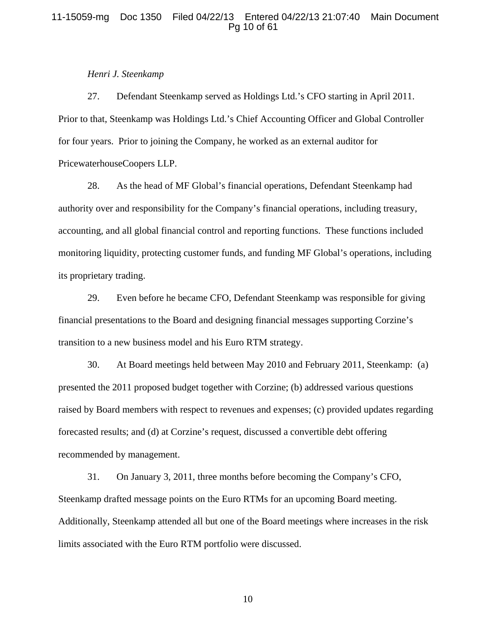## 11-15059-mg Doc 1350 Filed 04/22/13 Entered 04/22/13 21:07:40 Main Document Pg 10 of 61

#### *Henri J. Steenkamp*

27. Defendant Steenkamp served as Holdings Ltd.'s CFO starting in April 2011. Prior to that, Steenkamp was Holdings Ltd.'s Chief Accounting Officer and Global Controller for four years. Prior to joining the Company, he worked as an external auditor for PricewaterhouseCoopers LLP.

28. As the head of MF Global's financial operations, Defendant Steenkamp had authority over and responsibility for the Company's financial operations, including treasury, accounting, and all global financial control and reporting functions. These functions included monitoring liquidity, protecting customer funds, and funding MF Global's operations, including its proprietary trading.

29. Even before he became CFO, Defendant Steenkamp was responsible for giving financial presentations to the Board and designing financial messages supporting Corzine's transition to a new business model and his Euro RTM strategy.

30. At Board meetings held between May 2010 and February 2011, Steenkamp: (a) presented the 2011 proposed budget together with Corzine; (b) addressed various questions raised by Board members with respect to revenues and expenses; (c) provided updates regarding forecasted results; and (d) at Corzine's request, discussed a convertible debt offering recommended by management.

31. On January 3, 2011, three months before becoming the Company's CFO, Steenkamp drafted message points on the Euro RTMs for an upcoming Board meeting. Additionally, Steenkamp attended all but one of the Board meetings where increases in the risk limits associated with the Euro RTM portfolio were discussed.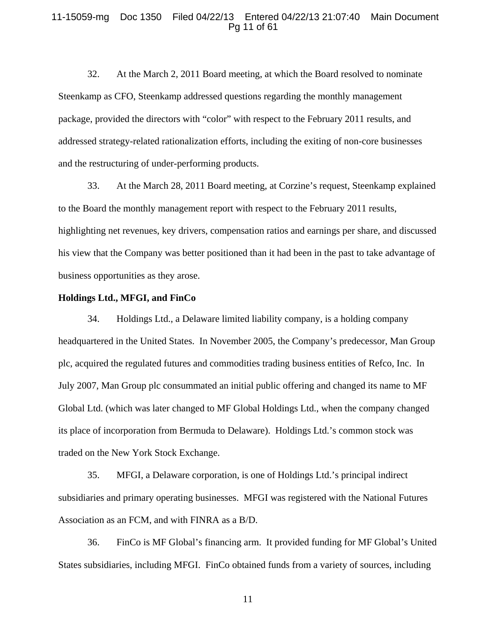#### 11-15059-mg Doc 1350 Filed 04/22/13 Entered 04/22/13 21:07:40 Main Document Pg 11 of 61

32. At the March 2, 2011 Board meeting, at which the Board resolved to nominate Steenkamp as CFO, Steenkamp addressed questions regarding the monthly management package, provided the directors with "color" with respect to the February 2011 results, and addressed strategy-related rationalization efforts, including the exiting of non-core businesses and the restructuring of under-performing products.

33. At the March 28, 2011 Board meeting, at Corzine's request, Steenkamp explained to the Board the monthly management report with respect to the February 2011 results, highlighting net revenues, key drivers, compensation ratios and earnings per share, and discussed his view that the Company was better positioned than it had been in the past to take advantage of business opportunities as they arose.

## **Holdings Ltd., MFGI, and FinCo**

34. Holdings Ltd., a Delaware limited liability company, is a holding company headquartered in the United States. In November 2005, the Company's predecessor, Man Group plc, acquired the regulated futures and commodities trading business entities of Refco, Inc. In July 2007, Man Group plc consummated an initial public offering and changed its name to MF Global Ltd. (which was later changed to MF Global Holdings Ltd., when the company changed its place of incorporation from Bermuda to Delaware). Holdings Ltd.'s common stock was traded on the New York Stock Exchange.

35. MFGI, a Delaware corporation, is one of Holdings Ltd.'s principal indirect subsidiaries and primary operating businesses. MFGI was registered with the National Futures Association as an FCM, and with FINRA as a B/D.

36. FinCo is MF Global's financing arm. It provided funding for MF Global's United States subsidiaries, including MFGI. FinCo obtained funds from a variety of sources, including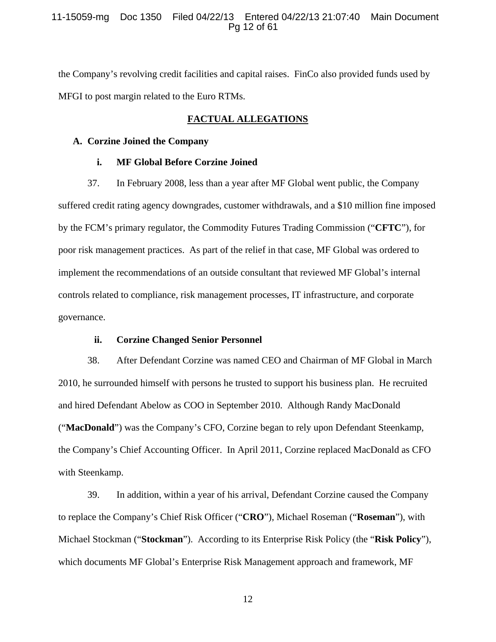## 11-15059-mg Doc 1350 Filed 04/22/13 Entered 04/22/13 21:07:40 Main Document Pg 12 of 61

the Company's revolving credit facilities and capital raises. FinCo also provided funds used by MFGI to post margin related to the Euro RTMs.

## **FACTUAL ALLEGATIONS**

#### **A. Corzine Joined the Company**

#### **i. MF Global Before Corzine Joined**

37. In February 2008, less than a year after MF Global went public, the Company suffered credit rating agency downgrades, customer withdrawals, and a \$10 million fine imposed by the FCM's primary regulator, the Commodity Futures Trading Commission ("**CFTC**"), for poor risk management practices. As part of the relief in that case, MF Global was ordered to implement the recommendations of an outside consultant that reviewed MF Global's internal controls related to compliance, risk management processes, IT infrastructure, and corporate governance.

## **ii. Corzine Changed Senior Personnel**

38. After Defendant Corzine was named CEO and Chairman of MF Global in March 2010, he surrounded himself with persons he trusted to support his business plan. He recruited and hired Defendant Abelow as COO in September 2010. Although Randy MacDonald ("**MacDonald**") was the Company's CFO, Corzine began to rely upon Defendant Steenkamp, the Company's Chief Accounting Officer. In April 2011, Corzine replaced MacDonald as CFO with Steenkamp.

39. In addition, within a year of his arrival, Defendant Corzine caused the Company to replace the Company's Chief Risk Officer ("**CRO**"), Michael Roseman ("**Roseman**"), with Michael Stockman ("**Stockman**"). According to its Enterprise Risk Policy (the "**Risk Policy**"), which documents MF Global's Enterprise Risk Management approach and framework, MF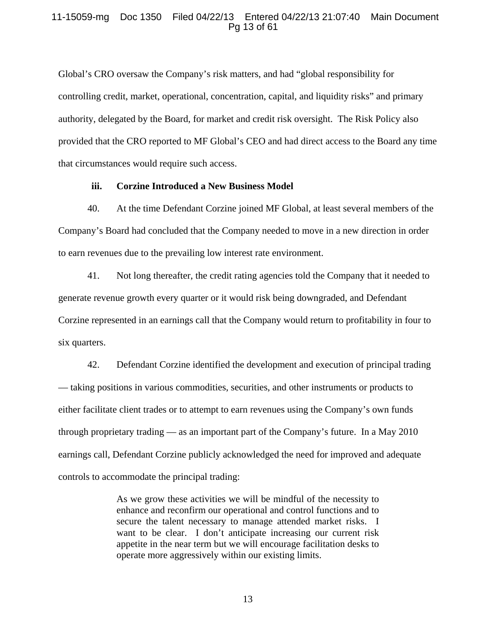## 11-15059-mg Doc 1350 Filed 04/22/13 Entered 04/22/13 21:07:40 Main Document Pg 13 of 61

Global's CRO oversaw the Company's risk matters, and had "global responsibility for controlling credit, market, operational, concentration, capital, and liquidity risks" and primary authority, delegated by the Board, for market and credit risk oversight. The Risk Policy also provided that the CRO reported to MF Global's CEO and had direct access to the Board any time that circumstances would require such access.

#### **iii. Corzine Introduced a New Business Model**

40. At the time Defendant Corzine joined MF Global, at least several members of the Company's Board had concluded that the Company needed to move in a new direction in order to earn revenues due to the prevailing low interest rate environment.

41. Not long thereafter, the credit rating agencies told the Company that it needed to generate revenue growth every quarter or it would risk being downgraded, and Defendant Corzine represented in an earnings call that the Company would return to profitability in four to six quarters.

42. Defendant Corzine identified the development and execution of principal trading — taking positions in various commodities, securities, and other instruments or products to either facilitate client trades or to attempt to earn revenues using the Company's own funds through proprietary trading — as an important part of the Company's future. In a May 2010 earnings call, Defendant Corzine publicly acknowledged the need for improved and adequate controls to accommodate the principal trading:

> As we grow these activities we will be mindful of the necessity to enhance and reconfirm our operational and control functions and to secure the talent necessary to manage attended market risks. I want to be clear. I don't anticipate increasing our current risk appetite in the near term but we will encourage facilitation desks to operate more aggressively within our existing limits.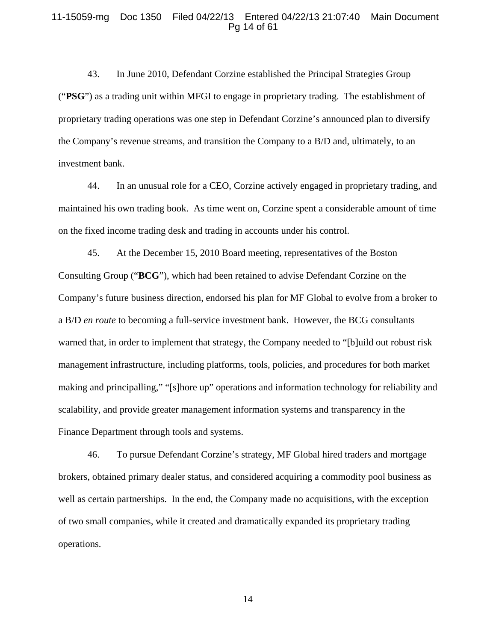### 11-15059-mg Doc 1350 Filed 04/22/13 Entered 04/22/13 21:07:40 Main Document Pg 14 of 61

43. In June 2010, Defendant Corzine established the Principal Strategies Group ("**PSG**") as a trading unit within MFGI to engage in proprietary trading. The establishment of proprietary trading operations was one step in Defendant Corzine's announced plan to diversify the Company's revenue streams, and transition the Company to a B/D and, ultimately, to an investment bank.

44. In an unusual role for a CEO, Corzine actively engaged in proprietary trading, and maintained his own trading book. As time went on, Corzine spent a considerable amount of time on the fixed income trading desk and trading in accounts under his control.

45. At the December 15, 2010 Board meeting, representatives of the Boston Consulting Group ("**BCG**"), which had been retained to advise Defendant Corzine on the Company's future business direction, endorsed his plan for MF Global to evolve from a broker to a B/D *en route* to becoming a full-service investment bank. However, the BCG consultants warned that, in order to implement that strategy, the Company needed to "[b]uild out robust risk management infrastructure, including platforms, tools, policies, and procedures for both market making and principalling," "[s]hore up" operations and information technology for reliability and scalability, and provide greater management information systems and transparency in the Finance Department through tools and systems.

46. To pursue Defendant Corzine's strategy, MF Global hired traders and mortgage brokers, obtained primary dealer status, and considered acquiring a commodity pool business as well as certain partnerships. In the end, the Company made no acquisitions, with the exception of two small companies, while it created and dramatically expanded its proprietary trading operations.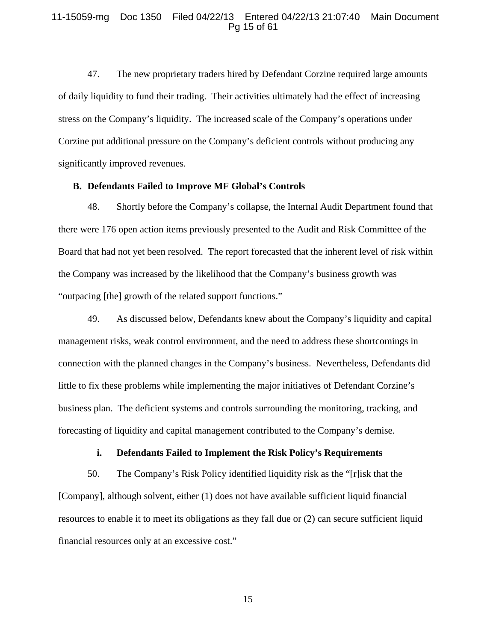#### 11-15059-mg Doc 1350 Filed 04/22/13 Entered 04/22/13 21:07:40 Main Document Pg 15 of 61

47. The new proprietary traders hired by Defendant Corzine required large amounts of daily liquidity to fund their trading. Their activities ultimately had the effect of increasing stress on the Company's liquidity. The increased scale of the Company's operations under Corzine put additional pressure on the Company's deficient controls without producing any significantly improved revenues.

#### **B. Defendants Failed to Improve MF Global's Controls**

48. Shortly before the Company's collapse, the Internal Audit Department found that there were 176 open action items previously presented to the Audit and Risk Committee of the Board that had not yet been resolved. The report forecasted that the inherent level of risk within the Company was increased by the likelihood that the Company's business growth was "outpacing [the] growth of the related support functions."

49. As discussed below, Defendants knew about the Company's liquidity and capital management risks, weak control environment, and the need to address these shortcomings in connection with the planned changes in the Company's business. Nevertheless, Defendants did little to fix these problems while implementing the major initiatives of Defendant Corzine's business plan. The deficient systems and controls surrounding the monitoring, tracking, and forecasting of liquidity and capital management contributed to the Company's demise.

## **i. Defendants Failed to Implement the Risk Policy's Requirements**

50. The Company's Risk Policy identified liquidity risk as the "[r]isk that the [Company], although solvent, either (1) does not have available sufficient liquid financial resources to enable it to meet its obligations as they fall due or (2) can secure sufficient liquid financial resources only at an excessive cost."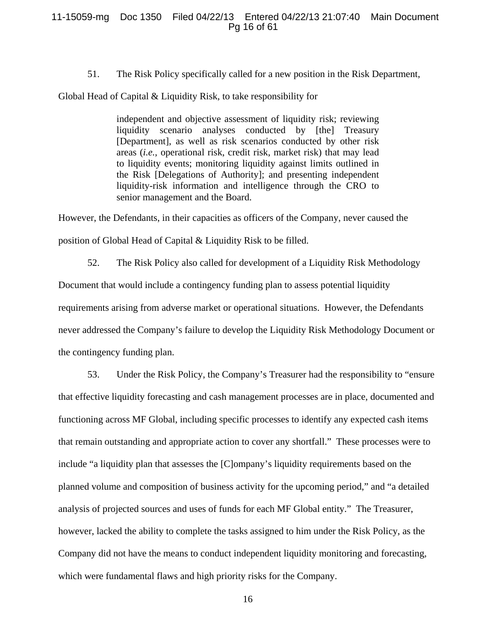## 11-15059-mg Doc 1350 Filed 04/22/13 Entered 04/22/13 21:07:40 Main Document Pg 16 of 61

51. The Risk Policy specifically called for a new position in the Risk Department,

Global Head of Capital & Liquidity Risk, to take responsibility for

independent and objective assessment of liquidity risk; reviewing liquidity scenario analyses conducted by [the] Treasury [Department], as well as risk scenarios conducted by other risk areas (*i.e.*, operational risk, credit risk, market risk) that may lead to liquidity events; monitoring liquidity against limits outlined in the Risk [Delegations of Authority]; and presenting independent liquidity-risk information and intelligence through the CRO to senior management and the Board.

However, the Defendants, in their capacities as officers of the Company, never caused the position of Global Head of Capital & Liquidity Risk to be filled.

52. The Risk Policy also called for development of a Liquidity Risk Methodology Document that would include a contingency funding plan to assess potential liquidity requirements arising from adverse market or operational situations. However, the Defendants never addressed the Company's failure to develop the Liquidity Risk Methodology Document or the contingency funding plan.

53. Under the Risk Policy, the Company's Treasurer had the responsibility to "ensure that effective liquidity forecasting and cash management processes are in place, documented and functioning across MF Global, including specific processes to identify any expected cash items that remain outstanding and appropriate action to cover any shortfall." These processes were to include "a liquidity plan that assesses the [C]ompany's liquidity requirements based on the planned volume and composition of business activity for the upcoming period," and "a detailed analysis of projected sources and uses of funds for each MF Global entity." The Treasurer, however, lacked the ability to complete the tasks assigned to him under the Risk Policy, as the Company did not have the means to conduct independent liquidity monitoring and forecasting, which were fundamental flaws and high priority risks for the Company.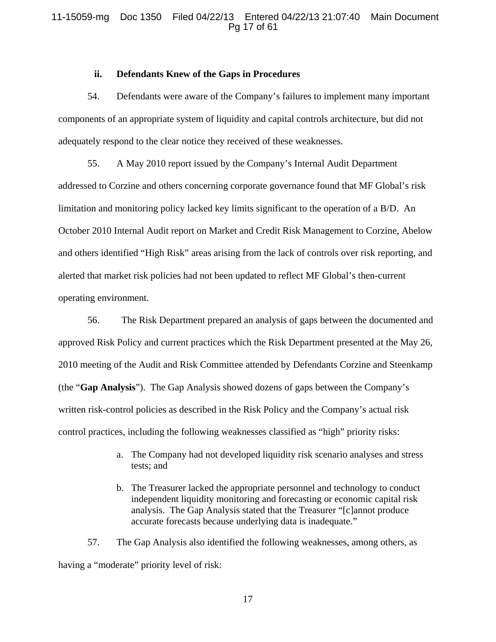## 11-15059-mg Doc 1350 Filed 04/22/13 Entered 04/22/13 21:07:40 Main Document Pg 17 of 61

#### **ii. Defendants Knew of the Gaps in Procedures**

54. Defendants were aware of the Company's failures to implement many important components of an appropriate system of liquidity and capital controls architecture, but did not adequately respond to the clear notice they received of these weaknesses.

55. A May 2010 report issued by the Company's Internal Audit Department addressed to Corzine and others concerning corporate governance found that MF Global's risk limitation and monitoring policy lacked key limits significant to the operation of a B/D. An October 2010 Internal Audit report on Market and Credit Risk Management to Corzine, Abelow and others identified "High Risk" areas arising from the lack of controls over risk reporting, and alerted that market risk policies had not been updated to reflect MF Global's then-current operating environment.

56. The Risk Department prepared an analysis of gaps between the documented and approved Risk Policy and current practices which the Risk Department presented at the May 26, 2010 meeting of the Audit and Risk Committee attended by Defendants Corzine and Steenkamp (the "**Gap Analysis**"). The Gap Analysis showed dozens of gaps between the Company's written risk-control policies as described in the Risk Policy and the Company's actual risk control practices, including the following weaknesses classified as "high" priority risks:

- a. The Company had not developed liquidity risk scenario analyses and stress tests; and
- b. The Treasurer lacked the appropriate personnel and technology to conduct independent liquidity monitoring and forecasting or economic capital risk analysis. The Gap Analysis stated that the Treasurer "[c]annot produce accurate forecasts because underlying data is inadequate."

57. The Gap Analysis also identified the following weaknesses, among others, as having a "moderate" priority level of risk: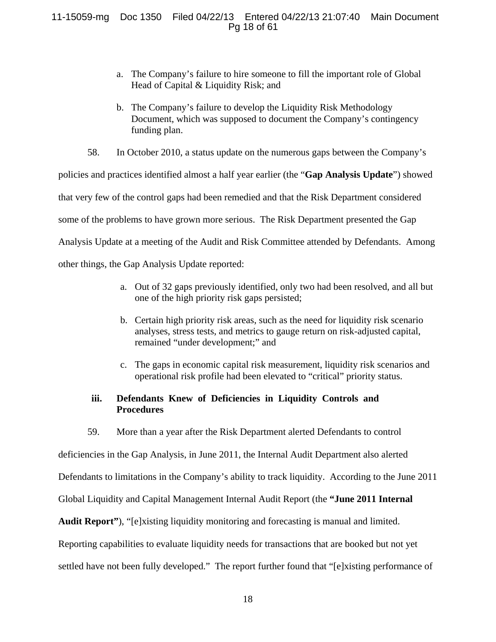# 11-15059-mg Doc 1350 Filed 04/22/13 Entered 04/22/13 21:07:40 Main Document Pg 18 of 61

- a. The Company's failure to hire someone to fill the important role of Global Head of Capital & Liquidity Risk; and
- b. The Company's failure to develop the Liquidity Risk Methodology Document, which was supposed to document the Company's contingency funding plan.
- 58. In October 2010, a status update on the numerous gaps between the Company's

policies and practices identified almost a half year earlier (the "**Gap Analysis Update**") showed that very few of the control gaps had been remedied and that the Risk Department considered some of the problems to have grown more serious. The Risk Department presented the Gap Analysis Update at a meeting of the Audit and Risk Committee attended by Defendants. Among other things, the Gap Analysis Update reported:

- a. Out of 32 gaps previously identified, only two had been resolved, and all but one of the high priority risk gaps persisted;
- b. Certain high priority risk areas, such as the need for liquidity risk scenario analyses, stress tests, and metrics to gauge return on risk-adjusted capital, remained "under development;" and
- c. The gaps in economic capital risk measurement, liquidity risk scenarios and operational risk profile had been elevated to "critical" priority status.

# **iii. Defendants Knew of Deficiencies in Liquidity Controls and Procedures**

59. More than a year after the Risk Department alerted Defendants to control

deficiencies in the Gap Analysis, in June 2011, the Internal Audit Department also alerted

Defendants to limitations in the Company's ability to track liquidity. According to the June 2011

Global Liquidity and Capital Management Internal Audit Report (the **"June 2011 Internal** 

**Audit Report"**), "[e]xisting liquidity monitoring and forecasting is manual and limited.

Reporting capabilities to evaluate liquidity needs for transactions that are booked but not yet

settled have not been fully developed." The report further found that "[e]xisting performance of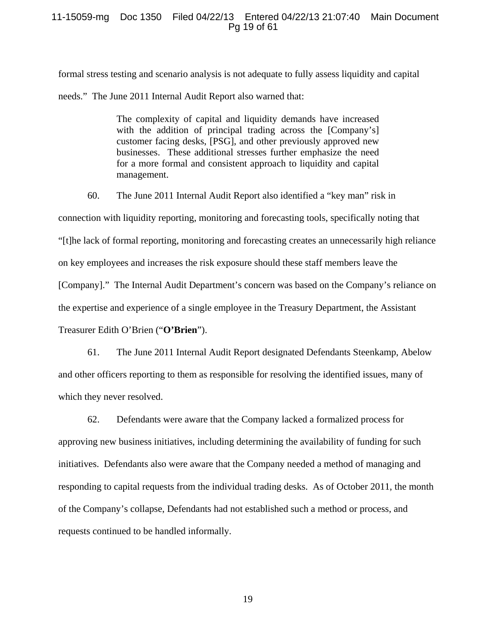## 11-15059-mg Doc 1350 Filed 04/22/13 Entered 04/22/13 21:07:40 Main Document Pg 19 of 61

formal stress testing and scenario analysis is not adequate to fully assess liquidity and capital needs." The June 2011 Internal Audit Report also warned that:

> The complexity of capital and liquidity demands have increased with the addition of principal trading across the [Company's] customer facing desks, [PSG], and other previously approved new businesses. These additional stresses further emphasize the need for a more formal and consistent approach to liquidity and capital management.

60. The June 2011 Internal Audit Report also identified a "key man" risk in connection with liquidity reporting, monitoring and forecasting tools, specifically noting that "[t]he lack of formal reporting, monitoring and forecasting creates an unnecessarily high reliance on key employees and increases the risk exposure should these staff members leave the [Company]." The Internal Audit Department's concern was based on the Company's reliance on the expertise and experience of a single employee in the Treasury Department, the Assistant Treasurer Edith O'Brien ("**O'Brien**").

61. The June 2011 Internal Audit Report designated Defendants Steenkamp, Abelow and other officers reporting to them as responsible for resolving the identified issues, many of which they never resolved.

62. Defendants were aware that the Company lacked a formalized process for approving new business initiatives, including determining the availability of funding for such initiatives. Defendants also were aware that the Company needed a method of managing and responding to capital requests from the individual trading desks. As of October 2011, the month of the Company's collapse, Defendants had not established such a method or process, and requests continued to be handled informally.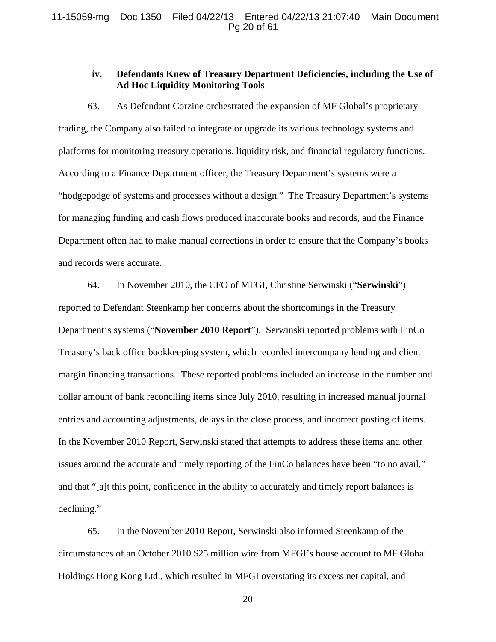## 11-15059-mg Doc 1350 Filed 04/22/13 Entered 04/22/13 21:07:40 Main Document Pg 20 of 61

# **iv. Defendants Knew of Treasury Department Deficiencies, including the Use of Ad Hoc Liquidity Monitoring Tools**

63. As Defendant Corzine orchestrated the expansion of MF Global's proprietary trading, the Company also failed to integrate or upgrade its various technology systems and platforms for monitoring treasury operations, liquidity risk, and financial regulatory functions. According to a Finance Department officer, the Treasury Department's systems were a "hodgepodge of systems and processes without a design." The Treasury Department's systems for managing funding and cash flows produced inaccurate books and records, and the Finance Department often had to make manual corrections in order to ensure that the Company's books and records were accurate.

64. In November 2010, the CFO of MFGI, Christine Serwinski ("**Serwinski**") reported to Defendant Steenkamp her concerns about the shortcomings in the Treasury Department's systems ("**November 2010 Report**"). Serwinski reported problems with FinCo Treasury's back office bookkeeping system, which recorded intercompany lending and client margin financing transactions. These reported problems included an increase in the number and dollar amount of bank reconciling items since July 2010, resulting in increased manual journal entries and accounting adjustments, delays in the close process, and incorrect posting of items. In the November 2010 Report, Serwinski stated that attempts to address these items and other issues around the accurate and timely reporting of the FinCo balances have been "to no avail," and that "[a]t this point, confidence in the ability to accurately and timely report balances is declining."

65. In the November 2010 Report, Serwinski also informed Steenkamp of the circumstances of an October 2010 \$25 million wire from MFGI's house account to MF Global Holdings Hong Kong Ltd., which resulted in MFGI overstating its excess net capital, and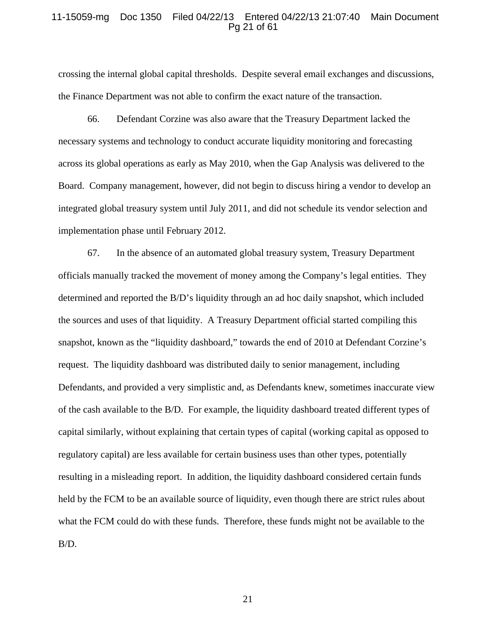#### 11-15059-mg Doc 1350 Filed 04/22/13 Entered 04/22/13 21:07:40 Main Document Pg 21 of 61

crossing the internal global capital thresholds. Despite several email exchanges and discussions, the Finance Department was not able to confirm the exact nature of the transaction.

66. Defendant Corzine was also aware that the Treasury Department lacked the necessary systems and technology to conduct accurate liquidity monitoring and forecasting across its global operations as early as May 2010, when the Gap Analysis was delivered to the Board. Company management, however, did not begin to discuss hiring a vendor to develop an integrated global treasury system until July 2011, and did not schedule its vendor selection and implementation phase until February 2012.

67. In the absence of an automated global treasury system, Treasury Department officials manually tracked the movement of money among the Company's legal entities. They determined and reported the B/D's liquidity through an ad hoc daily snapshot, which included the sources and uses of that liquidity. A Treasury Department official started compiling this snapshot, known as the "liquidity dashboard," towards the end of 2010 at Defendant Corzine's request. The liquidity dashboard was distributed daily to senior management, including Defendants, and provided a very simplistic and, as Defendants knew, sometimes inaccurate view of the cash available to the B/D. For example, the liquidity dashboard treated different types of capital similarly, without explaining that certain types of capital (working capital as opposed to regulatory capital) are less available for certain business uses than other types, potentially resulting in a misleading report. In addition, the liquidity dashboard considered certain funds held by the FCM to be an available source of liquidity, even though there are strict rules about what the FCM could do with these funds. Therefore, these funds might not be available to the B/D.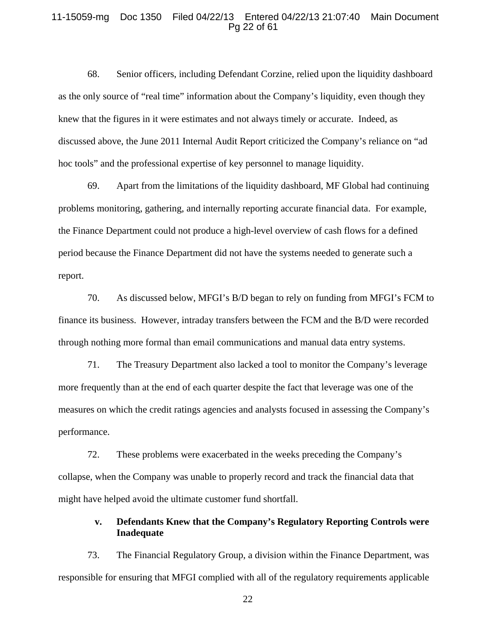#### 11-15059-mg Doc 1350 Filed 04/22/13 Entered 04/22/13 21:07:40 Main Document Pg 22 of 61

68. Senior officers, including Defendant Corzine, relied upon the liquidity dashboard as the only source of "real time" information about the Company's liquidity, even though they knew that the figures in it were estimates and not always timely or accurate. Indeed, as discussed above, the June 2011 Internal Audit Report criticized the Company's reliance on "ad hoc tools" and the professional expertise of key personnel to manage liquidity.

69. Apart from the limitations of the liquidity dashboard, MF Global had continuing problems monitoring, gathering, and internally reporting accurate financial data. For example, the Finance Department could not produce a high-level overview of cash flows for a defined period because the Finance Department did not have the systems needed to generate such a report.

70. As discussed below, MFGI's B/D began to rely on funding from MFGI's FCM to finance its business. However, intraday transfers between the FCM and the B/D were recorded through nothing more formal than email communications and manual data entry systems.

71. The Treasury Department also lacked a tool to monitor the Company's leverage more frequently than at the end of each quarter despite the fact that leverage was one of the measures on which the credit ratings agencies and analysts focused in assessing the Company's performance.

72. These problems were exacerbated in the weeks preceding the Company's collapse, when the Company was unable to properly record and track the financial data that might have helped avoid the ultimate customer fund shortfall.

# **v. Defendants Knew that the Company's Regulatory Reporting Controls were Inadequate**

73. The Financial Regulatory Group, a division within the Finance Department, was responsible for ensuring that MFGI complied with all of the regulatory requirements applicable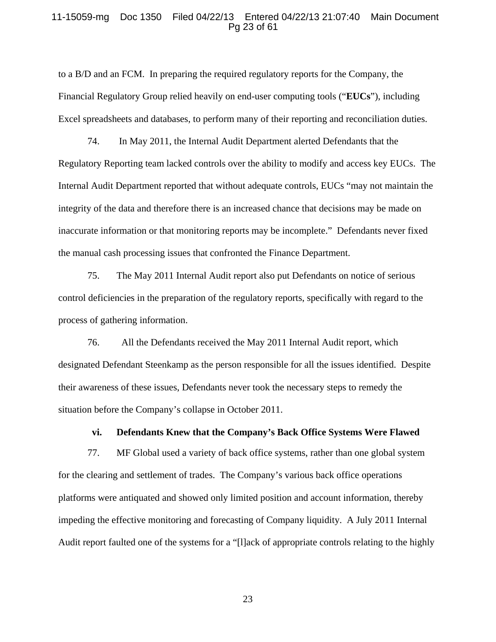#### 11-15059-mg Doc 1350 Filed 04/22/13 Entered 04/22/13 21:07:40 Main Document Pg 23 of 61

to a B/D and an FCM. In preparing the required regulatory reports for the Company, the Financial Regulatory Group relied heavily on end-user computing tools ("**EUCs**"), including Excel spreadsheets and databases, to perform many of their reporting and reconciliation duties.

74. In May 2011, the Internal Audit Department alerted Defendants that the Regulatory Reporting team lacked controls over the ability to modify and access key EUCs. The Internal Audit Department reported that without adequate controls, EUCs "may not maintain the integrity of the data and therefore there is an increased chance that decisions may be made on inaccurate information or that monitoring reports may be incomplete." Defendants never fixed the manual cash processing issues that confronted the Finance Department.

75. The May 2011 Internal Audit report also put Defendants on notice of serious control deficiencies in the preparation of the regulatory reports, specifically with regard to the process of gathering information.

76. All the Defendants received the May 2011 Internal Audit report, which designated Defendant Steenkamp as the person responsible for all the issues identified. Despite their awareness of these issues, Defendants never took the necessary steps to remedy the situation before the Company's collapse in October 2011.

#### **vi. Defendants Knew that the Company's Back Office Systems Were Flawed**

77. MF Global used a variety of back office systems, rather than one global system for the clearing and settlement of trades. The Company's various back office operations platforms were antiquated and showed only limited position and account information, thereby impeding the effective monitoring and forecasting of Company liquidity. A July 2011 Internal Audit report faulted one of the systems for a "[l]ack of appropriate controls relating to the highly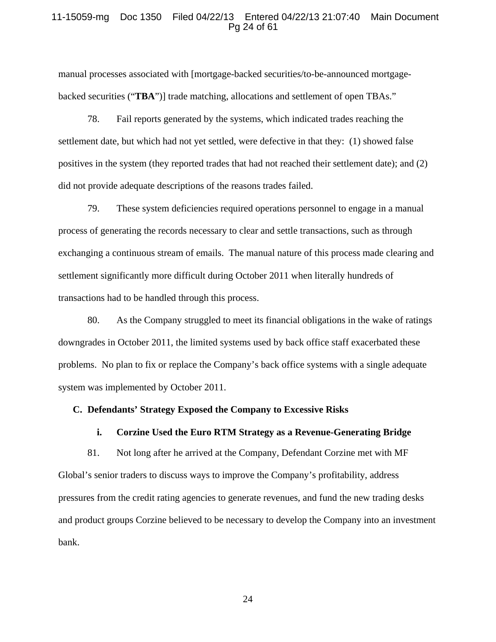#### 11-15059-mg Doc 1350 Filed 04/22/13 Entered 04/22/13 21:07:40 Main Document Pg 24 of 61

manual processes associated with [mortgage-backed securities/to-be-announced mortgagebacked securities ("**TBA**")] trade matching, allocations and settlement of open TBAs."

78. Fail reports generated by the systems, which indicated trades reaching the settlement date, but which had not yet settled, were defective in that they: (1) showed false positives in the system (they reported trades that had not reached their settlement date); and (2) did not provide adequate descriptions of the reasons trades failed.

79. These system deficiencies required operations personnel to engage in a manual process of generating the records necessary to clear and settle transactions, such as through exchanging a continuous stream of emails. The manual nature of this process made clearing and settlement significantly more difficult during October 2011 when literally hundreds of transactions had to be handled through this process.

80. As the Company struggled to meet its financial obligations in the wake of ratings downgrades in October 2011, the limited systems used by back office staff exacerbated these problems. No plan to fix or replace the Company's back office systems with a single adequate system was implemented by October 2011.

## **C. Defendants' Strategy Exposed the Company to Excessive Risks**

#### **i. Corzine Used the Euro RTM Strategy as a Revenue-Generating Bridge**

81. Not long after he arrived at the Company, Defendant Corzine met with MF Global's senior traders to discuss ways to improve the Company's profitability, address pressures from the credit rating agencies to generate revenues, and fund the new trading desks and product groups Corzine believed to be necessary to develop the Company into an investment bank.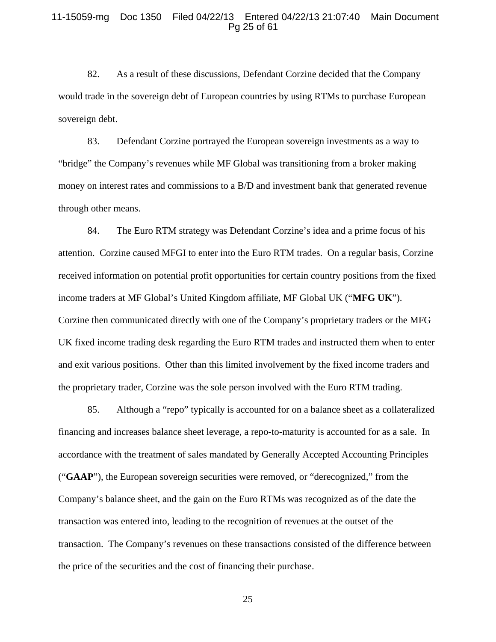#### 11-15059-mg Doc 1350 Filed 04/22/13 Entered 04/22/13 21:07:40 Main Document Pg 25 of 61

82. As a result of these discussions, Defendant Corzine decided that the Company would trade in the sovereign debt of European countries by using RTMs to purchase European sovereign debt.

83. Defendant Corzine portrayed the European sovereign investments as a way to "bridge" the Company's revenues while MF Global was transitioning from a broker making money on interest rates and commissions to a B/D and investment bank that generated revenue through other means.

84. The Euro RTM strategy was Defendant Corzine's idea and a prime focus of his attention. Corzine caused MFGI to enter into the Euro RTM trades. On a regular basis, Corzine received information on potential profit opportunities for certain country positions from the fixed income traders at MF Global's United Kingdom affiliate, MF Global UK ("**MFG UK**"). Corzine then communicated directly with one of the Company's proprietary traders or the MFG UK fixed income trading desk regarding the Euro RTM trades and instructed them when to enter and exit various positions. Other than this limited involvement by the fixed income traders and the proprietary trader, Corzine was the sole person involved with the Euro RTM trading.

85. Although a "repo" typically is accounted for on a balance sheet as a collateralized financing and increases balance sheet leverage, a repo-to-maturity is accounted for as a sale. In accordance with the treatment of sales mandated by Generally Accepted Accounting Principles ("**GAAP**"), the European sovereign securities were removed, or "derecognized," from the Company's balance sheet, and the gain on the Euro RTMs was recognized as of the date the transaction was entered into, leading to the recognition of revenues at the outset of the transaction. The Company's revenues on these transactions consisted of the difference between the price of the securities and the cost of financing their purchase.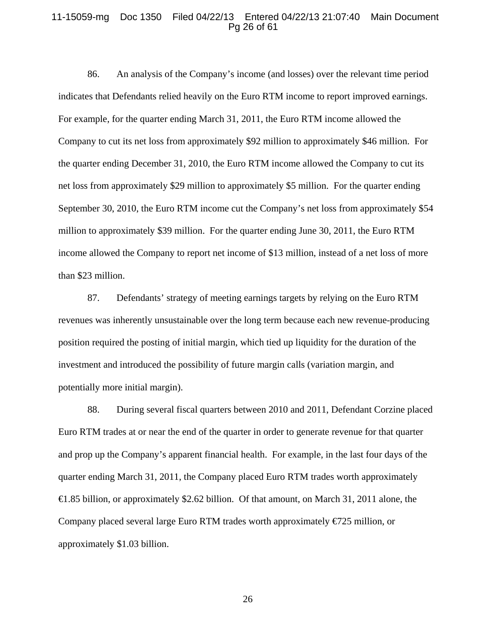## 11-15059-mg Doc 1350 Filed 04/22/13 Entered 04/22/13 21:07:40 Main Document Pg 26 of 61

86. An analysis of the Company's income (and losses) over the relevant time period indicates that Defendants relied heavily on the Euro RTM income to report improved earnings. For example, for the quarter ending March 31, 2011, the Euro RTM income allowed the Company to cut its net loss from approximately \$92 million to approximately \$46 million. For the quarter ending December 31, 2010, the Euro RTM income allowed the Company to cut its net loss from approximately \$29 million to approximately \$5 million. For the quarter ending September 30, 2010, the Euro RTM income cut the Company's net loss from approximately \$54 million to approximately \$39 million. For the quarter ending June 30, 2011, the Euro RTM income allowed the Company to report net income of \$13 million, instead of a net loss of more than \$23 million.

87. Defendants' strategy of meeting earnings targets by relying on the Euro RTM revenues was inherently unsustainable over the long term because each new revenue-producing position required the posting of initial margin, which tied up liquidity for the duration of the investment and introduced the possibility of future margin calls (variation margin, and potentially more initial margin).

88. During several fiscal quarters between 2010 and 2011, Defendant Corzine placed Euro RTM trades at or near the end of the quarter in order to generate revenue for that quarter and prop up the Company's apparent financial health. For example, in the last four days of the quarter ending March 31, 2011, the Company placed Euro RTM trades worth approximately €1.85 billion, or approximately \$2.62 billion. Of that amount, on March 31, 2011 alone, the Company placed several large Euro RTM trades worth approximately  $\epsilon$ 725 million, or approximately \$1.03 billion.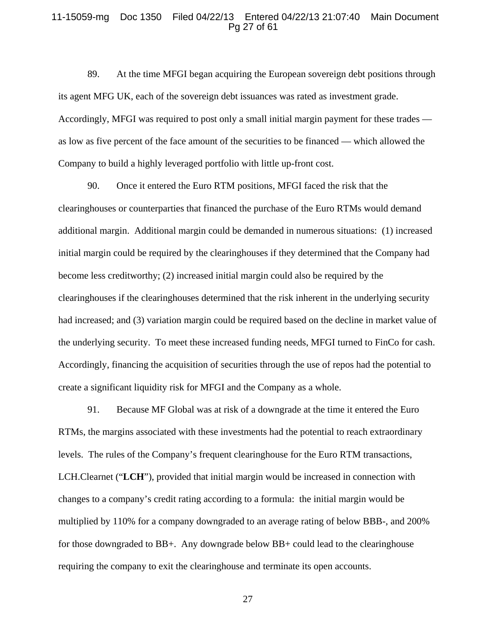#### 11-15059-mg Doc 1350 Filed 04/22/13 Entered 04/22/13 21:07:40 Main Document Pg 27 of 61

89. At the time MFGI began acquiring the European sovereign debt positions through its agent MFG UK, each of the sovereign debt issuances was rated as investment grade. Accordingly, MFGI was required to post only a small initial margin payment for these trades as low as five percent of the face amount of the securities to be financed — which allowed the Company to build a highly leveraged portfolio with little up-front cost.

90. Once it entered the Euro RTM positions, MFGI faced the risk that the clearinghouses or counterparties that financed the purchase of the Euro RTMs would demand additional margin. Additional margin could be demanded in numerous situations: (1) increased initial margin could be required by the clearinghouses if they determined that the Company had become less creditworthy; (2) increased initial margin could also be required by the clearinghouses if the clearinghouses determined that the risk inherent in the underlying security had increased; and (3) variation margin could be required based on the decline in market value of the underlying security. To meet these increased funding needs, MFGI turned to FinCo for cash. Accordingly, financing the acquisition of securities through the use of repos had the potential to create a significant liquidity risk for MFGI and the Company as a whole.

91. Because MF Global was at risk of a downgrade at the time it entered the Euro RTMs, the margins associated with these investments had the potential to reach extraordinary levels. The rules of the Company's frequent clearinghouse for the Euro RTM transactions, LCH.Clearnet ("**LCH**"), provided that initial margin would be increased in connection with changes to a company's credit rating according to a formula: the initial margin would be multiplied by 110% for a company downgraded to an average rating of below BBB-, and 200% for those downgraded to BB+. Any downgrade below BB+ could lead to the clearinghouse requiring the company to exit the clearinghouse and terminate its open accounts.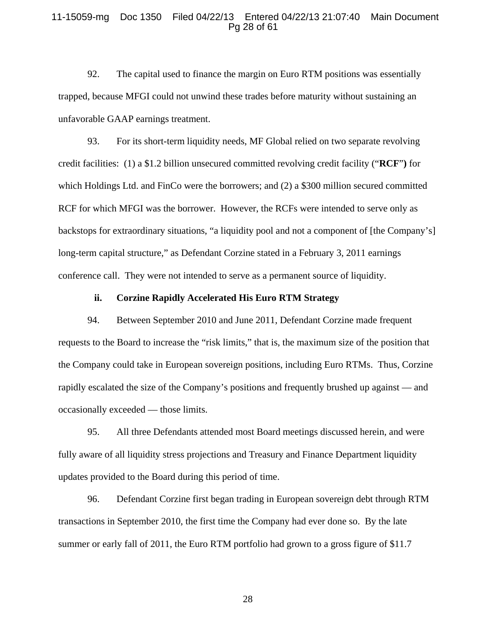### 11-15059-mg Doc 1350 Filed 04/22/13 Entered 04/22/13 21:07:40 Main Document Pg 28 of 61

92. The capital used to finance the margin on Euro RTM positions was essentially trapped, because MFGI could not unwind these trades before maturity without sustaining an unfavorable GAAP earnings treatment.

93. For its short-term liquidity needs, MF Global relied on two separate revolving credit facilities: (1) a \$1.2 billion unsecured committed revolving credit facility ("**RCF**"**)** for which Holdings Ltd. and FinCo were the borrowers; and (2) a \$300 million secured committed RCF for which MFGI was the borrower. However, the RCFs were intended to serve only as backstops for extraordinary situations, "a liquidity pool and not a component of [the Company's] long-term capital structure," as Defendant Corzine stated in a February 3, 2011 earnings conference call. They were not intended to serve as a permanent source of liquidity.

#### **ii. Corzine Rapidly Accelerated His Euro RTM Strategy**

94. Between September 2010 and June 2011, Defendant Corzine made frequent requests to the Board to increase the "risk limits," that is, the maximum size of the position that the Company could take in European sovereign positions, including Euro RTMs. Thus, Corzine rapidly escalated the size of the Company's positions and frequently brushed up against — and occasionally exceeded — those limits.

95. All three Defendants attended most Board meetings discussed herein, and were fully aware of all liquidity stress projections and Treasury and Finance Department liquidity updates provided to the Board during this period of time.

96. Defendant Corzine first began trading in European sovereign debt through RTM transactions in September 2010, the first time the Company had ever done so. By the late summer or early fall of 2011, the Euro RTM portfolio had grown to a gross figure of \$11.7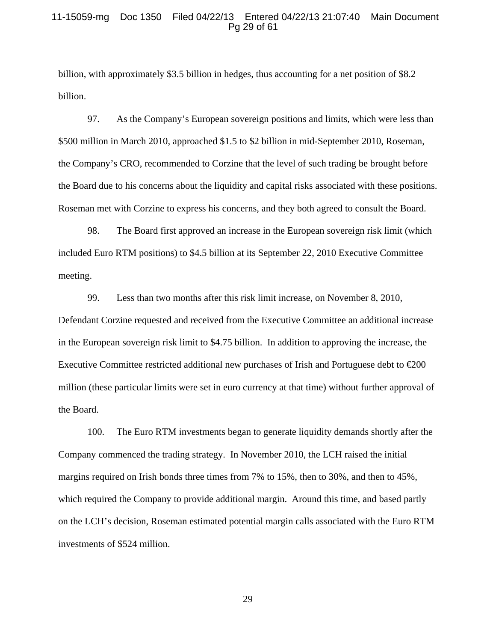## 11-15059-mg Doc 1350 Filed 04/22/13 Entered 04/22/13 21:07:40 Main Document Pg 29 of 61

billion, with approximately \$3.5 billion in hedges, thus accounting for a net position of \$8.2 billion.

97. As the Company's European sovereign positions and limits, which were less than \$500 million in March 2010, approached \$1.5 to \$2 billion in mid-September 2010, Roseman, the Company's CRO, recommended to Corzine that the level of such trading be brought before the Board due to his concerns about the liquidity and capital risks associated with these positions. Roseman met with Corzine to express his concerns, and they both agreed to consult the Board.

98. The Board first approved an increase in the European sovereign risk limit (which included Euro RTM positions) to \$4.5 billion at its September 22, 2010 Executive Committee meeting.

99. Less than two months after this risk limit increase, on November 8, 2010, Defendant Corzine requested and received from the Executive Committee an additional increase in the European sovereign risk limit to \$4.75 billion. In addition to approving the increase, the Executive Committee restricted additional new purchases of Irish and Portuguese debt to  $\epsilon 200$ million (these particular limits were set in euro currency at that time) without further approval of the Board.

100. The Euro RTM investments began to generate liquidity demands shortly after the Company commenced the trading strategy. In November 2010, the LCH raised the initial margins required on Irish bonds three times from 7% to 15%, then to 30%, and then to 45%, which required the Company to provide additional margin. Around this time, and based partly on the LCH's decision, Roseman estimated potential margin calls associated with the Euro RTM investments of \$524 million.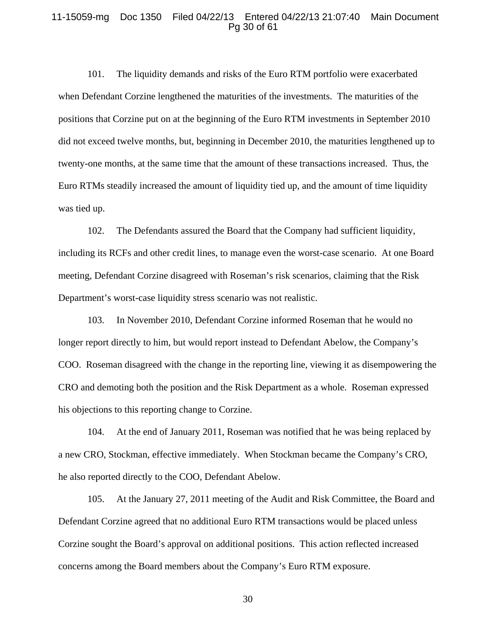#### 11-15059-mg Doc 1350 Filed 04/22/13 Entered 04/22/13 21:07:40 Main Document Pg 30 of 61

101. The liquidity demands and risks of the Euro RTM portfolio were exacerbated when Defendant Corzine lengthened the maturities of the investments. The maturities of the positions that Corzine put on at the beginning of the Euro RTM investments in September 2010 did not exceed twelve months, but, beginning in December 2010, the maturities lengthened up to twenty-one months, at the same time that the amount of these transactions increased. Thus, the Euro RTMs steadily increased the amount of liquidity tied up, and the amount of time liquidity was tied up.

102. The Defendants assured the Board that the Company had sufficient liquidity, including its RCFs and other credit lines, to manage even the worst-case scenario. At one Board meeting, Defendant Corzine disagreed with Roseman's risk scenarios, claiming that the Risk Department's worst-case liquidity stress scenario was not realistic.

103. In November 2010, Defendant Corzine informed Roseman that he would no longer report directly to him, but would report instead to Defendant Abelow, the Company's COO. Roseman disagreed with the change in the reporting line, viewing it as disempowering the CRO and demoting both the position and the Risk Department as a whole. Roseman expressed his objections to this reporting change to Corzine.

104. At the end of January 2011, Roseman was notified that he was being replaced by a new CRO, Stockman, effective immediately. When Stockman became the Company's CRO, he also reported directly to the COO, Defendant Abelow.

105. At the January 27, 2011 meeting of the Audit and Risk Committee, the Board and Defendant Corzine agreed that no additional Euro RTM transactions would be placed unless Corzine sought the Board's approval on additional positions. This action reflected increased concerns among the Board members about the Company's Euro RTM exposure.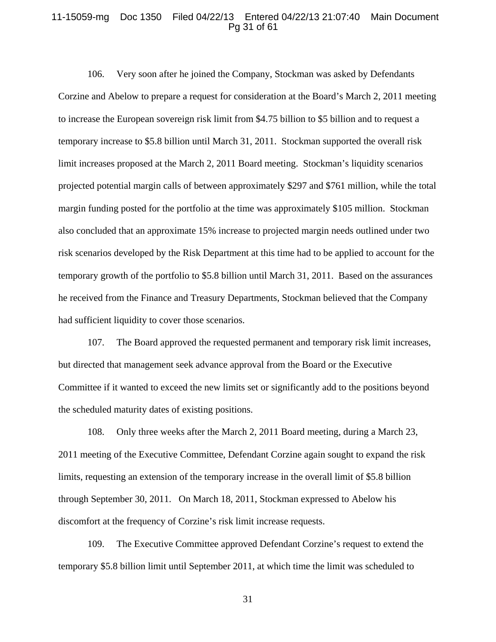### 11-15059-mg Doc 1350 Filed 04/22/13 Entered 04/22/13 21:07:40 Main Document Pg 31 of 61

106. Very soon after he joined the Company, Stockman was asked by Defendants Corzine and Abelow to prepare a request for consideration at the Board's March 2, 2011 meeting to increase the European sovereign risk limit from \$4.75 billion to \$5 billion and to request a temporary increase to \$5.8 billion until March 31, 2011. Stockman supported the overall risk limit increases proposed at the March 2, 2011 Board meeting. Stockman's liquidity scenarios projected potential margin calls of between approximately \$297 and \$761 million, while the total margin funding posted for the portfolio at the time was approximately \$105 million. Stockman also concluded that an approximate 15% increase to projected margin needs outlined under two risk scenarios developed by the Risk Department at this time had to be applied to account for the temporary growth of the portfolio to \$5.8 billion until March 31, 2011. Based on the assurances he received from the Finance and Treasury Departments, Stockman believed that the Company had sufficient liquidity to cover those scenarios.

107. The Board approved the requested permanent and temporary risk limit increases, but directed that management seek advance approval from the Board or the Executive Committee if it wanted to exceed the new limits set or significantly add to the positions beyond the scheduled maturity dates of existing positions.

108. Only three weeks after the March 2, 2011 Board meeting, during a March 23, 2011 meeting of the Executive Committee, Defendant Corzine again sought to expand the risk limits, requesting an extension of the temporary increase in the overall limit of \$5.8 billion through September 30, 2011. On March 18, 2011, Stockman expressed to Abelow his discomfort at the frequency of Corzine's risk limit increase requests.

109. The Executive Committee approved Defendant Corzine's request to extend the temporary \$5.8 billion limit until September 2011, at which time the limit was scheduled to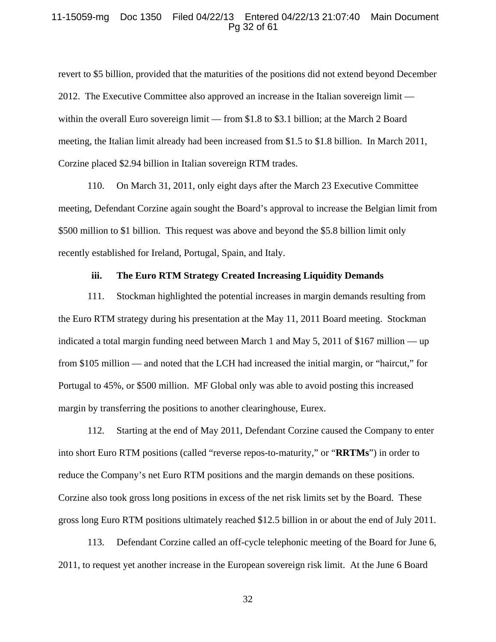#### 11-15059-mg Doc 1350 Filed 04/22/13 Entered 04/22/13 21:07:40 Main Document Pg 32 of 61

revert to \$5 billion, provided that the maturities of the positions did not extend beyond December 2012. The Executive Committee also approved an increase in the Italian sovereign limit within the overall Euro sovereign limit — from \$1.8 to \$3.1 billion; at the March 2 Board meeting, the Italian limit already had been increased from \$1.5 to \$1.8 billion. In March 2011, Corzine placed \$2.94 billion in Italian sovereign RTM trades.

110. On March 31, 2011, only eight days after the March 23 Executive Committee meeting, Defendant Corzine again sought the Board's approval to increase the Belgian limit from \$500 million to \$1 billion. This request was above and beyond the \$5.8 billion limit only recently established for Ireland, Portugal, Spain, and Italy.

#### **iii. The Euro RTM Strategy Created Increasing Liquidity Demands**

111. Stockman highlighted the potential increases in margin demands resulting from the Euro RTM strategy during his presentation at the May 11, 2011 Board meeting. Stockman indicated a total margin funding need between March 1 and May 5, 2011 of \$167 million — up from \$105 million — and noted that the LCH had increased the initial margin, or "haircut," for Portugal to 45%, or \$500 million. MF Global only was able to avoid posting this increased margin by transferring the positions to another clearinghouse, Eurex.

112. Starting at the end of May 2011, Defendant Corzine caused the Company to enter into short Euro RTM positions (called "reverse repos-to-maturity," or "**RRTMs**") in order to reduce the Company's net Euro RTM positions and the margin demands on these positions. Corzine also took gross long positions in excess of the net risk limits set by the Board. These gross long Euro RTM positions ultimately reached \$12.5 billion in or about the end of July 2011.

113. Defendant Corzine called an off-cycle telephonic meeting of the Board for June 6, 2011, to request yet another increase in the European sovereign risk limit. At the June 6 Board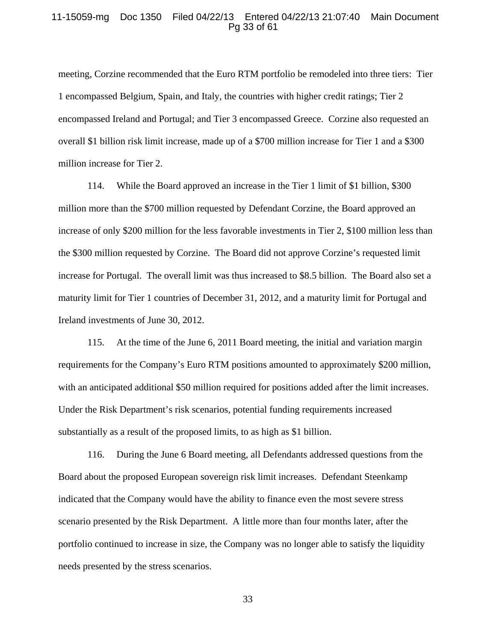#### 11-15059-mg Doc 1350 Filed 04/22/13 Entered 04/22/13 21:07:40 Main Document Pg 33 of 61

meeting, Corzine recommended that the Euro RTM portfolio be remodeled into three tiers: Tier 1 encompassed Belgium, Spain, and Italy, the countries with higher credit ratings; Tier 2 encompassed Ireland and Portugal; and Tier 3 encompassed Greece. Corzine also requested an overall \$1 billion risk limit increase, made up of a \$700 million increase for Tier 1 and a \$300 million increase for Tier 2.

114. While the Board approved an increase in the Tier 1 limit of \$1 billion, \$300 million more than the \$700 million requested by Defendant Corzine, the Board approved an increase of only \$200 million for the less favorable investments in Tier 2, \$100 million less than the \$300 million requested by Corzine. The Board did not approve Corzine's requested limit increase for Portugal. The overall limit was thus increased to \$8.5 billion. The Board also set a maturity limit for Tier 1 countries of December 31, 2012, and a maturity limit for Portugal and Ireland investments of June 30, 2012.

115. At the time of the June 6, 2011 Board meeting, the initial and variation margin requirements for the Company's Euro RTM positions amounted to approximately \$200 million, with an anticipated additional \$50 million required for positions added after the limit increases. Under the Risk Department's risk scenarios, potential funding requirements increased substantially as a result of the proposed limits, to as high as \$1 billion.

116. During the June 6 Board meeting, all Defendants addressed questions from the Board about the proposed European sovereign risk limit increases. Defendant Steenkamp indicated that the Company would have the ability to finance even the most severe stress scenario presented by the Risk Department. A little more than four months later, after the portfolio continued to increase in size, the Company was no longer able to satisfy the liquidity needs presented by the stress scenarios.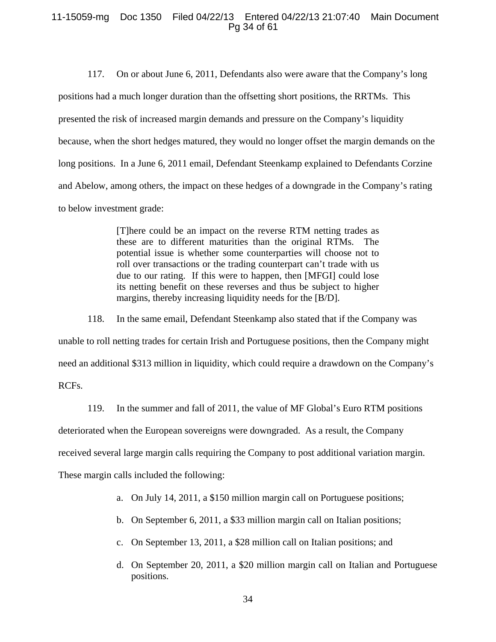## 11-15059-mg Doc 1350 Filed 04/22/13 Entered 04/22/13 21:07:40 Main Document Pg 34 of 61

117. On or about June 6, 2011, Defendants also were aware that the Company's long positions had a much longer duration than the offsetting short positions, the RRTMs. This presented the risk of increased margin demands and pressure on the Company's liquidity because, when the short hedges matured, they would no longer offset the margin demands on the long positions. In a June 6, 2011 email, Defendant Steenkamp explained to Defendants Corzine and Abelow, among others, the impact on these hedges of a downgrade in the Company's rating to below investment grade:

> [T]here could be an impact on the reverse RTM netting trades as these are to different maturities than the original RTMs. The potential issue is whether some counterparties will choose not to roll over transactions or the trading counterpart can't trade with us due to our rating. If this were to happen, then [MFGI] could lose its netting benefit on these reverses and thus be subject to higher margins, thereby increasing liquidity needs for the [B/D].

118. In the same email, Defendant Steenkamp also stated that if the Company was unable to roll netting trades for certain Irish and Portuguese positions, then the Company might need an additional \$313 million in liquidity, which could require a drawdown on the Company's RCFs.

119. In the summer and fall of 2011, the value of MF Global's Euro RTM positions deteriorated when the European sovereigns were downgraded. As a result, the Company received several large margin calls requiring the Company to post additional variation margin. These margin calls included the following:

- a. On July 14, 2011, a \$150 million margin call on Portuguese positions;
- b. On September 6, 2011, a \$33 million margin call on Italian positions;
- c. On September 13, 2011, a \$28 million call on Italian positions; and
- d. On September 20, 2011, a \$20 million margin call on Italian and Portuguese positions.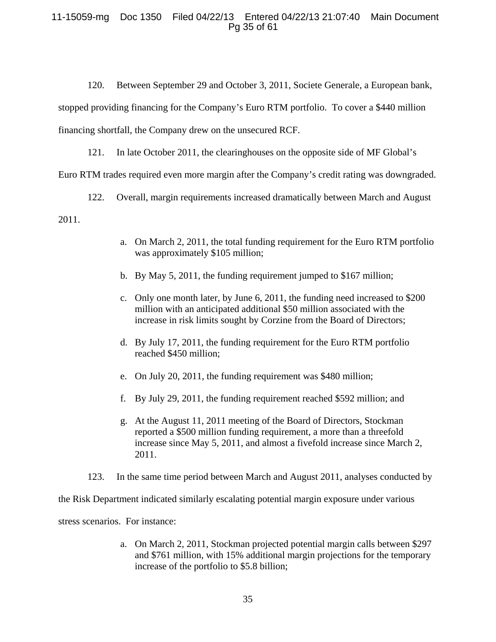# 11-15059-mg Doc 1350 Filed 04/22/13 Entered 04/22/13 21:07:40 Main Document Pg 35 of 61

120. Between September 29 and October 3, 2011, Societe Generale, a European bank, stopped providing financing for the Company's Euro RTM portfolio. To cover a \$440 million financing shortfall, the Company drew on the unsecured RCF.

121. In late October 2011, the clearinghouses on the opposite side of MF Global's

Euro RTM trades required even more margin after the Company's credit rating was downgraded.

122. Overall, margin requirements increased dramatically between March and August 2011.

- a. On March 2, 2011, the total funding requirement for the Euro RTM portfolio was approximately \$105 million;
- b. By May 5, 2011, the funding requirement jumped to \$167 million;
- c. Only one month later, by June 6, 2011, the funding need increased to \$200 million with an anticipated additional \$50 million associated with the increase in risk limits sought by Corzine from the Board of Directors;
- d. By July 17, 2011, the funding requirement for the Euro RTM portfolio reached \$450 million;
- e. On July 20, 2011, the funding requirement was \$480 million;
- f. By July 29, 2011, the funding requirement reached \$592 million; and
- g. At the August 11, 2011 meeting of the Board of Directors, Stockman reported a \$500 million funding requirement, a more than a threefold increase since May 5, 2011, and almost a fivefold increase since March 2, 2011.
- 123. In the same time period between March and August 2011, analyses conducted by

the Risk Department indicated similarly escalating potential margin exposure under various

stress scenarios. For instance:

a. On March 2, 2011, Stockman projected potential margin calls between \$297 and \$761 million, with 15% additional margin projections for the temporary increase of the portfolio to \$5.8 billion;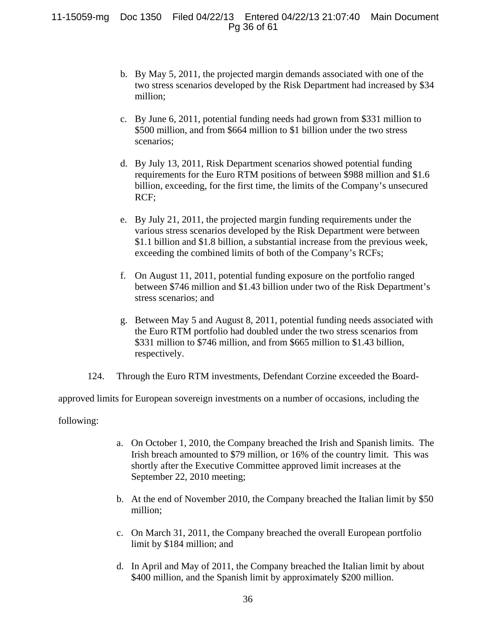11-15059-mg Doc 1350 Filed 04/22/13 Entered 04/22/13 21:07:40 Main Document Pg 36 of 61

- b. By May 5, 2011, the projected margin demands associated with one of the two stress scenarios developed by the Risk Department had increased by \$34 million;
- c. By June 6, 2011, potential funding needs had grown from \$331 million to \$500 million, and from \$664 million to \$1 billion under the two stress scenarios;
- d. By July 13, 2011, Risk Department scenarios showed potential funding requirements for the Euro RTM positions of between \$988 million and \$1.6 billion, exceeding, for the first time, the limits of the Company's unsecured RCF;
- e. By July 21, 2011, the projected margin funding requirements under the various stress scenarios developed by the Risk Department were between \$1.1 billion and \$1.8 billion, a substantial increase from the previous week, exceeding the combined limits of both of the Company's RCFs;
- f. On August 11, 2011, potential funding exposure on the portfolio ranged between \$746 million and \$1.43 billion under two of the Risk Department's stress scenarios; and
- g. Between May 5 and August 8, 2011, potential funding needs associated with the Euro RTM portfolio had doubled under the two stress scenarios from \$331 million to \$746 million, and from \$665 million to \$1.43 billion, respectively.
- 124. Through the Euro RTM investments, Defendant Corzine exceeded the Board-

approved limits for European sovereign investments on a number of occasions, including the

following:

- a. On October 1, 2010, the Company breached the Irish and Spanish limits. The Irish breach amounted to \$79 million, or 16% of the country limit. This was shortly after the Executive Committee approved limit increases at the September 22, 2010 meeting;
- b. At the end of November 2010, the Company breached the Italian limit by \$50 million;
- c. On March 31, 2011, the Company breached the overall European portfolio limit by \$184 million; and
- d. In April and May of 2011, the Company breached the Italian limit by about \$400 million, and the Spanish limit by approximately \$200 million.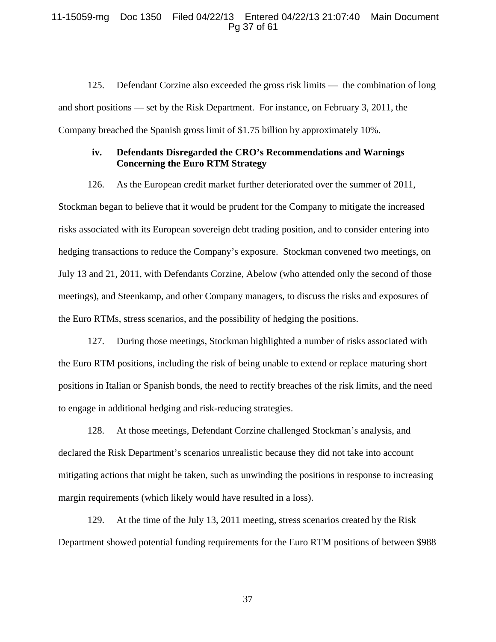## 11-15059-mg Doc 1350 Filed 04/22/13 Entered 04/22/13 21:07:40 Main Document Pg 37 of 61

125. Defendant Corzine also exceeded the gross risk limits — the combination of long and short positions — set by the Risk Department. For instance, on February 3, 2011, the Company breached the Spanish gross limit of \$1.75 billion by approximately 10%.

## **iv. Defendants Disregarded the CRO's Recommendations and Warnings Concerning the Euro RTM Strategy**

126. As the European credit market further deteriorated over the summer of 2011,

Stockman began to believe that it would be prudent for the Company to mitigate the increased risks associated with its European sovereign debt trading position, and to consider entering into hedging transactions to reduce the Company's exposure. Stockman convened two meetings, on July 13 and 21, 2011, with Defendants Corzine, Abelow (who attended only the second of those meetings), and Steenkamp, and other Company managers, to discuss the risks and exposures of the Euro RTMs, stress scenarios, and the possibility of hedging the positions.

127. During those meetings, Stockman highlighted a number of risks associated with the Euro RTM positions, including the risk of being unable to extend or replace maturing short positions in Italian or Spanish bonds, the need to rectify breaches of the risk limits, and the need to engage in additional hedging and risk-reducing strategies.

128. At those meetings, Defendant Corzine challenged Stockman's analysis, and declared the Risk Department's scenarios unrealistic because they did not take into account mitigating actions that might be taken, such as unwinding the positions in response to increasing margin requirements (which likely would have resulted in a loss).

129. At the time of the July 13, 2011 meeting, stress scenarios created by the Risk Department showed potential funding requirements for the Euro RTM positions of between \$988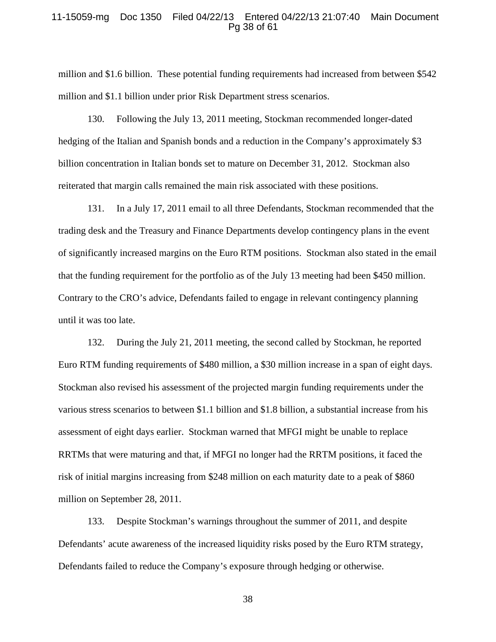#### 11-15059-mg Doc 1350 Filed 04/22/13 Entered 04/22/13 21:07:40 Main Document Pg 38 of 61

million and \$1.6 billion. These potential funding requirements had increased from between \$542 million and \$1.1 billion under prior Risk Department stress scenarios.

130. Following the July 13, 2011 meeting, Stockman recommended longer-dated hedging of the Italian and Spanish bonds and a reduction in the Company's approximately \$3 billion concentration in Italian bonds set to mature on December 31, 2012. Stockman also reiterated that margin calls remained the main risk associated with these positions.

131. In a July 17, 2011 email to all three Defendants, Stockman recommended that the trading desk and the Treasury and Finance Departments develop contingency plans in the event of significantly increased margins on the Euro RTM positions. Stockman also stated in the email that the funding requirement for the portfolio as of the July 13 meeting had been \$450 million. Contrary to the CRO's advice, Defendants failed to engage in relevant contingency planning until it was too late.

132. During the July 21, 2011 meeting, the second called by Stockman, he reported Euro RTM funding requirements of \$480 million, a \$30 million increase in a span of eight days. Stockman also revised his assessment of the projected margin funding requirements under the various stress scenarios to between \$1.1 billion and \$1.8 billion, a substantial increase from his assessment of eight days earlier. Stockman warned that MFGI might be unable to replace RRTMs that were maturing and that, if MFGI no longer had the RRTM positions, it faced the risk of initial margins increasing from \$248 million on each maturity date to a peak of \$860 million on September 28, 2011.

133. Despite Stockman's warnings throughout the summer of 2011, and despite Defendants' acute awareness of the increased liquidity risks posed by the Euro RTM strategy, Defendants failed to reduce the Company's exposure through hedging or otherwise.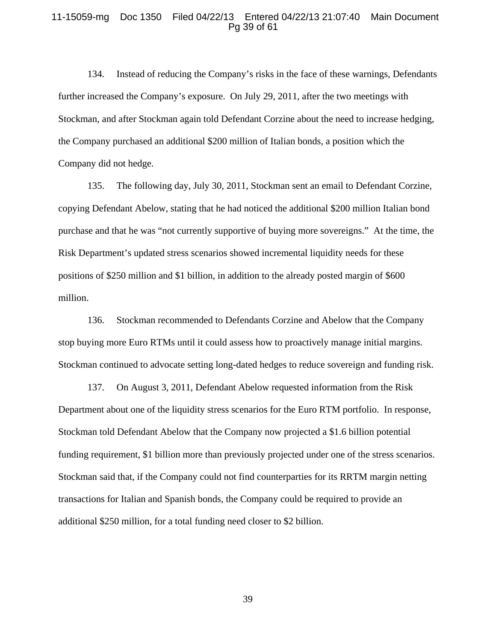#### 11-15059-mg Doc 1350 Filed 04/22/13 Entered 04/22/13 21:07:40 Main Document Pg 39 of 61

134. Instead of reducing the Company's risks in the face of these warnings, Defendants further increased the Company's exposure. On July 29, 2011, after the two meetings with Stockman, and after Stockman again told Defendant Corzine about the need to increase hedging, the Company purchased an additional \$200 million of Italian bonds, a position which the Company did not hedge.

135. The following day, July 30, 2011, Stockman sent an email to Defendant Corzine, copying Defendant Abelow, stating that he had noticed the additional \$200 million Italian bond purchase and that he was "not currently supportive of buying more sovereigns." At the time, the Risk Department's updated stress scenarios showed incremental liquidity needs for these positions of \$250 million and \$1 billion, in addition to the already posted margin of \$600 million.

136. Stockman recommended to Defendants Corzine and Abelow that the Company stop buying more Euro RTMs until it could assess how to proactively manage initial margins. Stockman continued to advocate setting long-dated hedges to reduce sovereign and funding risk.

137. On August 3, 2011, Defendant Abelow requested information from the Risk Department about one of the liquidity stress scenarios for the Euro RTM portfolio. In response, Stockman told Defendant Abelow that the Company now projected a \$1.6 billion potential funding requirement, \$1 billion more than previously projected under one of the stress scenarios. Stockman said that, if the Company could not find counterparties for its RRTM margin netting transactions for Italian and Spanish bonds, the Company could be required to provide an additional \$250 million, for a total funding need closer to \$2 billion.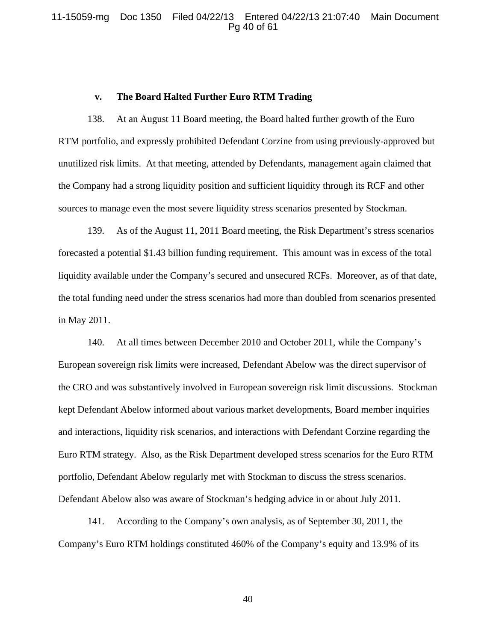## 11-15059-mg Doc 1350 Filed 04/22/13 Entered 04/22/13 21:07:40 Main Document Pg 40 of 61

#### **v. The Board Halted Further Euro RTM Trading**

138. At an August 11 Board meeting, the Board halted further growth of the Euro RTM portfolio, and expressly prohibited Defendant Corzine from using previously-approved but unutilized risk limits. At that meeting, attended by Defendants, management again claimed that the Company had a strong liquidity position and sufficient liquidity through its RCF and other sources to manage even the most severe liquidity stress scenarios presented by Stockman.

139. As of the August 11, 2011 Board meeting, the Risk Department's stress scenarios forecasted a potential \$1.43 billion funding requirement. This amount was in excess of the total liquidity available under the Company's secured and unsecured RCFs. Moreover, as of that date, the total funding need under the stress scenarios had more than doubled from scenarios presented in May 2011.

140. At all times between December 2010 and October 2011, while the Company's European sovereign risk limits were increased, Defendant Abelow was the direct supervisor of the CRO and was substantively involved in European sovereign risk limit discussions. Stockman kept Defendant Abelow informed about various market developments, Board member inquiries and interactions, liquidity risk scenarios, and interactions with Defendant Corzine regarding the Euro RTM strategy. Also, as the Risk Department developed stress scenarios for the Euro RTM portfolio, Defendant Abelow regularly met with Stockman to discuss the stress scenarios. Defendant Abelow also was aware of Stockman's hedging advice in or about July 2011.

141. According to the Company's own analysis, as of September 30, 2011, the Company's Euro RTM holdings constituted 460% of the Company's equity and 13.9% of its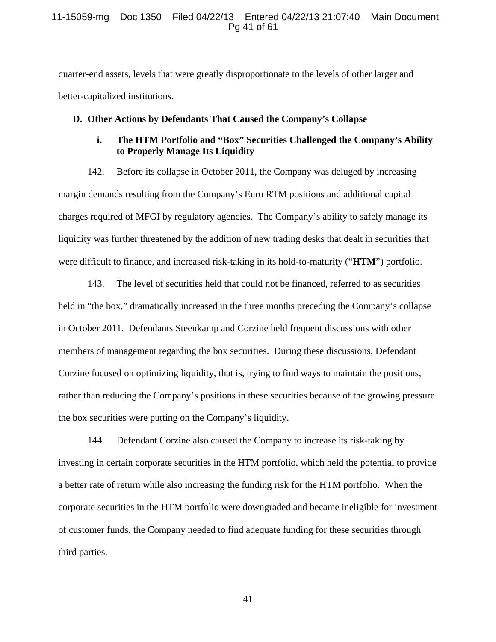## 11-15059-mg Doc 1350 Filed 04/22/13 Entered 04/22/13 21:07:40 Main Document Pg 41 of 61

quarter-end assets, levels that were greatly disproportionate to the levels of other larger and better-capitalized institutions.

#### **D. Other Actions by Defendants That Caused the Company's Collapse**

# **i. The HTM Portfolio and "Box" Securities Challenged the Company's Ability to Properly Manage Its Liquidity**

142. Before its collapse in October 2011, the Company was deluged by increasing margin demands resulting from the Company's Euro RTM positions and additional capital charges required of MFGI by regulatory agencies. The Company's ability to safely manage its liquidity was further threatened by the addition of new trading desks that dealt in securities that were difficult to finance, and increased risk-taking in its hold-to-maturity ("**HTM**") portfolio.

143. The level of securities held that could not be financed, referred to as securities held in "the box," dramatically increased in the three months preceding the Company's collapse in October 2011. Defendants Steenkamp and Corzine held frequent discussions with other members of management regarding the box securities. During these discussions, Defendant Corzine focused on optimizing liquidity, that is, trying to find ways to maintain the positions, rather than reducing the Company's positions in these securities because of the growing pressure the box securities were putting on the Company's liquidity.

144. Defendant Corzine also caused the Company to increase its risk-taking by investing in certain corporate securities in the HTM portfolio, which held the potential to provide a better rate of return while also increasing the funding risk for the HTM portfolio. When the corporate securities in the HTM portfolio were downgraded and became ineligible for investment of customer funds, the Company needed to find adequate funding for these securities through third parties.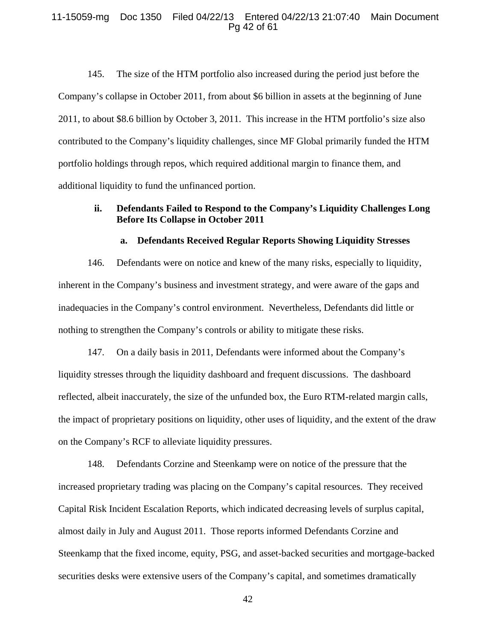#### 11-15059-mg Doc 1350 Filed 04/22/13 Entered 04/22/13 21:07:40 Main Document Pg 42 of 61

145. The size of the HTM portfolio also increased during the period just before the Company's collapse in October 2011, from about \$6 billion in assets at the beginning of June 2011, to about \$8.6 billion by October 3, 2011. This increase in the HTM portfolio's size also contributed to the Company's liquidity challenges, since MF Global primarily funded the HTM portfolio holdings through repos, which required additional margin to finance them, and additional liquidity to fund the unfinanced portion.

# **ii. Defendants Failed to Respond to the Company's Liquidity Challenges Long Before Its Collapse in October 2011**

## **a. Defendants Received Regular Reports Showing Liquidity Stresses**

146. Defendants were on notice and knew of the many risks, especially to liquidity, inherent in the Company's business and investment strategy, and were aware of the gaps and inadequacies in the Company's control environment. Nevertheless, Defendants did little or nothing to strengthen the Company's controls or ability to mitigate these risks.

147. On a daily basis in 2011, Defendants were informed about the Company's liquidity stresses through the liquidity dashboard and frequent discussions. The dashboard reflected, albeit inaccurately, the size of the unfunded box, the Euro RTM-related margin calls, the impact of proprietary positions on liquidity, other uses of liquidity, and the extent of the draw on the Company's RCF to alleviate liquidity pressures.

148. Defendants Corzine and Steenkamp were on notice of the pressure that the increased proprietary trading was placing on the Company's capital resources. They received Capital Risk Incident Escalation Reports, which indicated decreasing levels of surplus capital, almost daily in July and August 2011. Those reports informed Defendants Corzine and Steenkamp that the fixed income, equity, PSG, and asset-backed securities and mortgage-backed securities desks were extensive users of the Company's capital, and sometimes dramatically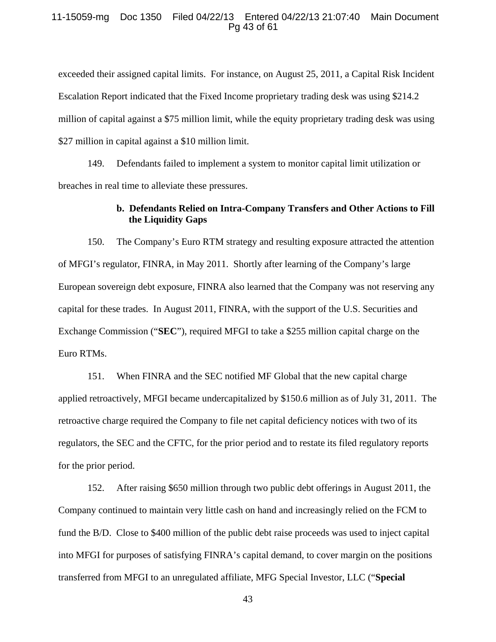#### 11-15059-mg Doc 1350 Filed 04/22/13 Entered 04/22/13 21:07:40 Main Document Pg 43 of 61

exceeded their assigned capital limits. For instance, on August 25, 2011, a Capital Risk Incident Escalation Report indicated that the Fixed Income proprietary trading desk was using \$214.2 million of capital against a \$75 million limit, while the equity proprietary trading desk was using \$27 million in capital against a \$10 million limit.

149. Defendants failed to implement a system to monitor capital limit utilization or breaches in real time to alleviate these pressures.

## **b. Defendants Relied on Intra-Company Transfers and Other Actions to Fill the Liquidity Gaps**

150. The Company's Euro RTM strategy and resulting exposure attracted the attention of MFGI's regulator, FINRA, in May 2011. Shortly after learning of the Company's large European sovereign debt exposure, FINRA also learned that the Company was not reserving any capital for these trades. In August 2011, FINRA, with the support of the U.S. Securities and Exchange Commission ("**SEC**"), required MFGI to take a \$255 million capital charge on the Euro RTMs.

151. When FINRA and the SEC notified MF Global that the new capital charge applied retroactively, MFGI became undercapitalized by \$150.6 million as of July 31, 2011. The retroactive charge required the Company to file net capital deficiency notices with two of its regulators, the SEC and the CFTC, for the prior period and to restate its filed regulatory reports for the prior period.

152. After raising \$650 million through two public debt offerings in August 2011, the Company continued to maintain very little cash on hand and increasingly relied on the FCM to fund the B/D. Close to \$400 million of the public debt raise proceeds was used to inject capital into MFGI for purposes of satisfying FINRA's capital demand, to cover margin on the positions transferred from MFGI to an unregulated affiliate, MFG Special Investor, LLC ("**Special**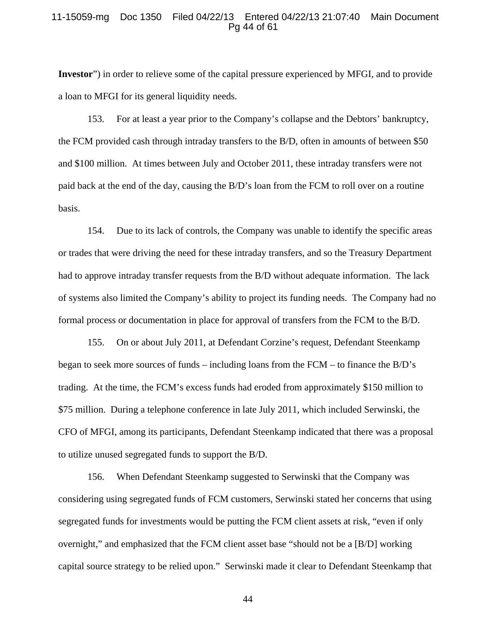#### 11-15059-mg Doc 1350 Filed 04/22/13 Entered 04/22/13 21:07:40 Main Document Pg 44 of 61

**Investor**") in order to relieve some of the capital pressure experienced by MFGI, and to provide a loan to MFGI for its general liquidity needs.

153. For at least a year prior to the Company's collapse and the Debtors' bankruptcy, the FCM provided cash through intraday transfers to the B/D, often in amounts of between \$50 and \$100 million. At times between July and October 2011, these intraday transfers were not paid back at the end of the day, causing the B/D's loan from the FCM to roll over on a routine basis.

154. Due to its lack of controls, the Company was unable to identify the specific areas or trades that were driving the need for these intraday transfers, and so the Treasury Department had to approve intraday transfer requests from the B/D without adequate information. The lack of systems also limited the Company's ability to project its funding needs. The Company had no formal process or documentation in place for approval of transfers from the FCM to the B/D.

155. On or about July 2011, at Defendant Corzine's request, Defendant Steenkamp began to seek more sources of funds – including loans from the FCM – to finance the B/D's trading. At the time, the FCM's excess funds had eroded from approximately \$150 million to \$75 million. During a telephone conference in late July 2011, which included Serwinski, the CFO of MFGI, among its participants, Defendant Steenkamp indicated that there was a proposal to utilize unused segregated funds to support the B/D.

156. When Defendant Steenkamp suggested to Serwinski that the Company was considering using segregated funds of FCM customers, Serwinski stated her concerns that using segregated funds for investments would be putting the FCM client assets at risk, "even if only overnight," and emphasized that the FCM client asset base "should not be a [B/D] working capital source strategy to be relied upon." Serwinski made it clear to Defendant Steenkamp that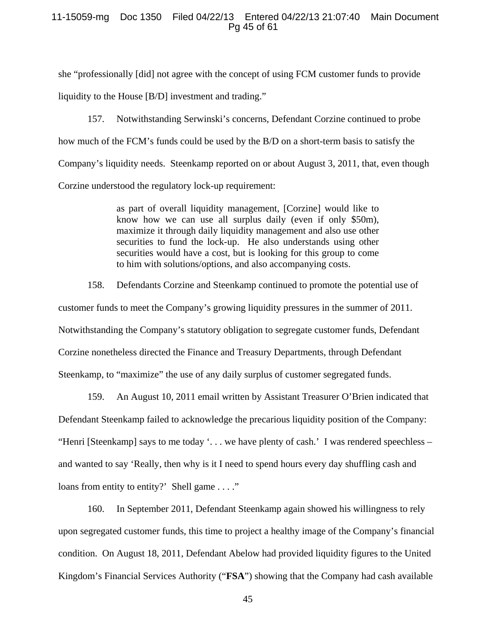## 11-15059-mg Doc 1350 Filed 04/22/13 Entered 04/22/13 21:07:40 Main Document Pg 45 of 61

she "professionally [did] not agree with the concept of using FCM customer funds to provide liquidity to the House [B/D] investment and trading."

157. Notwithstanding Serwinski's concerns, Defendant Corzine continued to probe how much of the FCM's funds could be used by the B/D on a short-term basis to satisfy the Company's liquidity needs. Steenkamp reported on or about August 3, 2011, that, even though Corzine understood the regulatory lock-up requirement:

> as part of overall liquidity management, [Corzine] would like to know how we can use all surplus daily (even if only \$50m), maximize it through daily liquidity management and also use other securities to fund the lock-up. He also understands using other securities would have a cost, but is looking for this group to come to him with solutions/options, and also accompanying costs.

158. Defendants Corzine and Steenkamp continued to promote the potential use of customer funds to meet the Company's growing liquidity pressures in the summer of 2011. Notwithstanding the Company's statutory obligation to segregate customer funds, Defendant Corzine nonetheless directed the Finance and Treasury Departments, through Defendant Steenkamp, to "maximize" the use of any daily surplus of customer segregated funds.

159. An August 10, 2011 email written by Assistant Treasurer O'Brien indicated that Defendant Steenkamp failed to acknowledge the precarious liquidity position of the Company: "Henri [Steenkamp] says to me today '. . . we have plenty of cash.' I was rendered speechless – and wanted to say 'Really, then why is it I need to spend hours every day shuffling cash and loans from entity to entity?' Shell game . . . ."

160. In September 2011, Defendant Steenkamp again showed his willingness to rely upon segregated customer funds, this time to project a healthy image of the Company's financial condition. On August 18, 2011, Defendant Abelow had provided liquidity figures to the United Kingdom's Financial Services Authority ("**FSA**") showing that the Company had cash available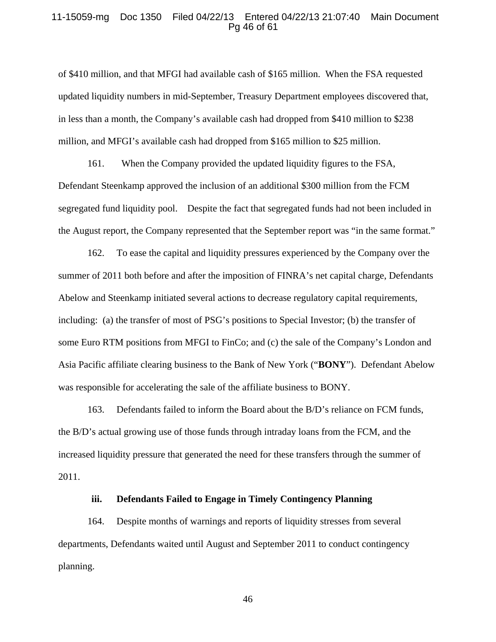#### 11-15059-mg Doc 1350 Filed 04/22/13 Entered 04/22/13 21:07:40 Main Document Pg 46 of 61

of \$410 million, and that MFGI had available cash of \$165 million. When the FSA requested updated liquidity numbers in mid-September, Treasury Department employees discovered that, in less than a month, the Company's available cash had dropped from \$410 million to \$238 million, and MFGI's available cash had dropped from \$165 million to \$25 million.

161. When the Company provided the updated liquidity figures to the FSA, Defendant Steenkamp approved the inclusion of an additional \$300 million from the FCM segregated fund liquidity pool. Despite the fact that segregated funds had not been included in the August report, the Company represented that the September report was "in the same format."

162. To ease the capital and liquidity pressures experienced by the Company over the summer of 2011 both before and after the imposition of FINRA's net capital charge, Defendants Abelow and Steenkamp initiated several actions to decrease regulatory capital requirements, including: (a) the transfer of most of PSG's positions to Special Investor; (b) the transfer of some Euro RTM positions from MFGI to FinCo; and (c) the sale of the Company's London and Asia Pacific affiliate clearing business to the Bank of New York ("**BONY**"). Defendant Abelow was responsible for accelerating the sale of the affiliate business to BONY.

163. Defendants failed to inform the Board about the B/D's reliance on FCM funds, the B/D's actual growing use of those funds through intraday loans from the FCM, and the increased liquidity pressure that generated the need for these transfers through the summer of 2011.

## **iii. Defendants Failed to Engage in Timely Contingency Planning**

164. Despite months of warnings and reports of liquidity stresses from several departments, Defendants waited until August and September 2011 to conduct contingency planning.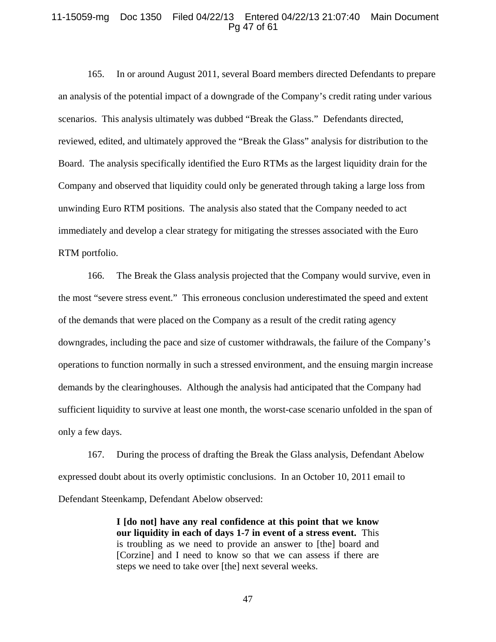### 11-15059-mg Doc 1350 Filed 04/22/13 Entered 04/22/13 21:07:40 Main Document Pg 47 of 61

165. In or around August 2011, several Board members directed Defendants to prepare an analysis of the potential impact of a downgrade of the Company's credit rating under various scenarios. This analysis ultimately was dubbed "Break the Glass." Defendants directed, reviewed, edited, and ultimately approved the "Break the Glass" analysis for distribution to the Board. The analysis specifically identified the Euro RTMs as the largest liquidity drain for the Company and observed that liquidity could only be generated through taking a large loss from unwinding Euro RTM positions. The analysis also stated that the Company needed to act immediately and develop a clear strategy for mitigating the stresses associated with the Euro RTM portfolio.

166. The Break the Glass analysis projected that the Company would survive, even in the most "severe stress event." This erroneous conclusion underestimated the speed and extent of the demands that were placed on the Company as a result of the credit rating agency downgrades, including the pace and size of customer withdrawals, the failure of the Company's operations to function normally in such a stressed environment, and the ensuing margin increase demands by the clearinghouses. Although the analysis had anticipated that the Company had sufficient liquidity to survive at least one month, the worst-case scenario unfolded in the span of only a few days.

167. During the process of drafting the Break the Glass analysis, Defendant Abelow expressed doubt about its overly optimistic conclusions. In an October 10, 2011 email to Defendant Steenkamp, Defendant Abelow observed:

> **I [do not] have any real confidence at this point that we know our liquidity in each of days 1-7 in event of a stress event.** This is troubling as we need to provide an answer to [the] board and [Corzine] and I need to know so that we can assess if there are steps we need to take over [the] next several weeks.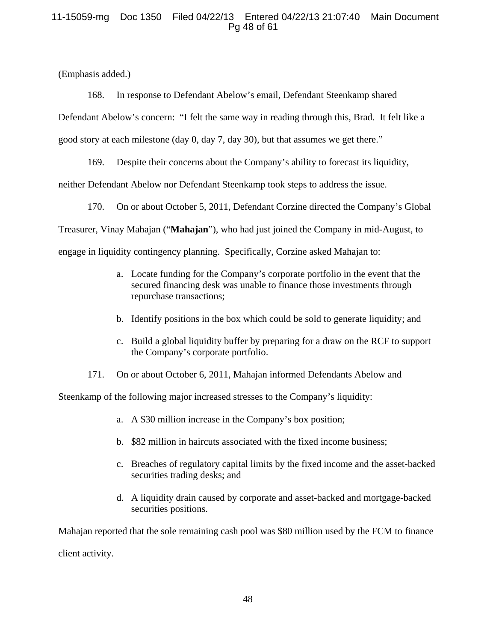# 11-15059-mg Doc 1350 Filed 04/22/13 Entered 04/22/13 21:07:40 Main Document Pg 48 of 61

(Emphasis added.)

168. In response to Defendant Abelow's email, Defendant Steenkamp shared Defendant Abelow's concern: "I felt the same way in reading through this, Brad. It felt like a good story at each milestone (day 0, day 7, day 30), but that assumes we get there."

169. Despite their concerns about the Company's ability to forecast its liquidity, neither Defendant Abelow nor Defendant Steenkamp took steps to address the issue.

170. On or about October 5, 2011, Defendant Corzine directed the Company's Global

Treasurer, Vinay Mahajan ("**Mahajan**"), who had just joined the Company in mid-August, to

engage in liquidity contingency planning. Specifically, Corzine asked Mahajan to:

- a. Locate funding for the Company's corporate portfolio in the event that the secured financing desk was unable to finance those investments through repurchase transactions;
- b. Identify positions in the box which could be sold to generate liquidity; and
- c. Build a global liquidity buffer by preparing for a draw on the RCF to support the Company's corporate portfolio.
- 171. On or about October 6, 2011, Mahajan informed Defendants Abelow and

Steenkamp of the following major increased stresses to the Company's liquidity:

- a. A \$30 million increase in the Company's box position;
- b. \$82 million in haircuts associated with the fixed income business;
- c. Breaches of regulatory capital limits by the fixed income and the asset-backed securities trading desks; and
- d. A liquidity drain caused by corporate and asset-backed and mortgage-backed securities positions.

Mahajan reported that the sole remaining cash pool was \$80 million used by the FCM to finance client activity.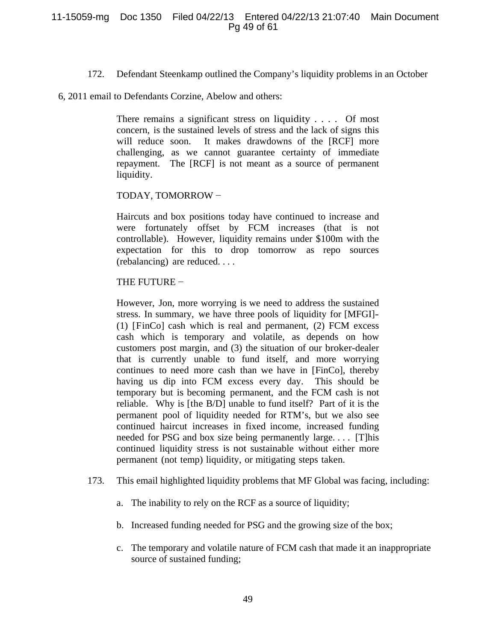172. Defendant Steenkamp outlined the Company's liquidity problems in an October

6, 2011 email to Defendants Corzine, Abelow and others:

There remains a significant stress on liquidity . . . . Of most concern, is the sustained levels of stress and the lack of signs this will reduce soon. It makes drawdowns of the [RCF] more challenging, as we cannot guarantee certainty of immediate repayment. The [RCF] is not meant as a source of permanent liquidity.

# TODAY, TOMORROW −

Haircuts and box positions today have continued to increase and were fortunately offset by FCM increases (that is not controllable). However, liquidity remains under \$100m with the expectation for this to drop tomorrow as repo sources (rebalancing) are reduced. . . .

# THE FUTURE −

However, Jon, more worrying is we need to address the sustained stress. In summary, we have three pools of liquidity for [MFGI]- (1) [FinCo] cash which is real and permanent, (2) FCM excess cash which is temporary and volatile, as depends on how customers post margin, and (3) the situation of our broker-dealer that is currently unable to fund itself, and more worrying continues to need more cash than we have in [FinCo], thereby having us dip into FCM excess every day. This should be temporary but is becoming permanent, and the FCM cash is not reliable. Why is [the B/D] unable to fund itself? Part of it is the permanent pool of liquidity needed for RTM's, but we also see continued haircut increases in fixed income, increased funding needed for PSG and box size being permanently large. . . . [T]his continued liquidity stress is not sustainable without either more permanent (not temp) liquidity, or mitigating steps taken.

- 173. This email highlighted liquidity problems that MF Global was facing, including:
	- a. The inability to rely on the RCF as a source of liquidity;
	- b. Increased funding needed for PSG and the growing size of the box;
	- c. The temporary and volatile nature of FCM cash that made it an inappropriate source of sustained funding;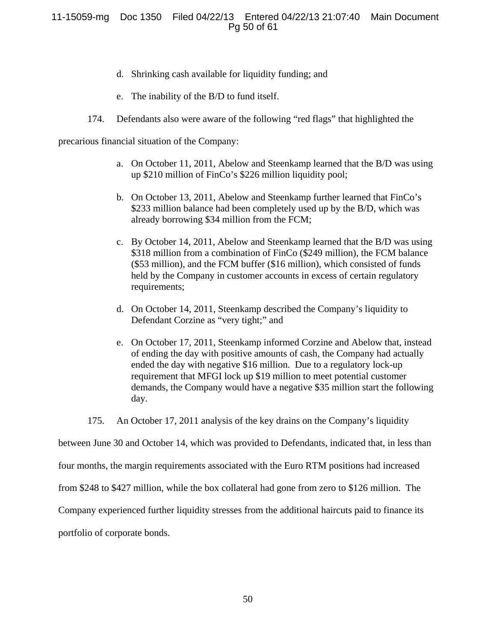# 11-15059-mg Doc 1350 Filed 04/22/13 Entered 04/22/13 21:07:40 Main Document Pg 50 of 61

- d. Shrinking cash available for liquidity funding; and
- e. The inability of the B/D to fund itself.
- 174. Defendants also were aware of the following "red flags" that highlighted the

precarious financial situation of the Company:

- a. On October 11, 2011, Abelow and Steenkamp learned that the B/D was using up \$210 million of FinCo's \$226 million liquidity pool;
- b. On October 13, 2011, Abelow and Steenkamp further learned that FinCo's \$233 million balance had been completely used up by the B/D, which was already borrowing \$34 million from the FCM;
- c. By October 14, 2011, Abelow and Steenkamp learned that the B/D was using \$318 million from a combination of FinCo (\$249 million), the FCM balance (\$53 million), and the FCM buffer (\$16 million), which consisted of funds held by the Company in customer accounts in excess of certain regulatory requirements;
- d. On October 14, 2011, Steenkamp described the Company's liquidity to Defendant Corzine as "very tight;" and
- e. On October 17, 2011, Steenkamp informed Corzine and Abelow that, instead of ending the day with positive amounts of cash, the Company had actually ended the day with negative \$16 million. Due to a regulatory lock-up requirement that MFGI lock up \$19 million to meet potential customer demands, the Company would have a negative \$35 million start the following day.

175. An October 17, 2011 analysis of the key drains on the Company's liquidity

between June 30 and October 14, which was provided to Defendants, indicated that, in less than

four months, the margin requirements associated with the Euro RTM positions had increased

from \$248 to \$427 million, while the box collateral had gone from zero to \$126 million. The

Company experienced further liquidity stresses from the additional haircuts paid to finance its

portfolio of corporate bonds.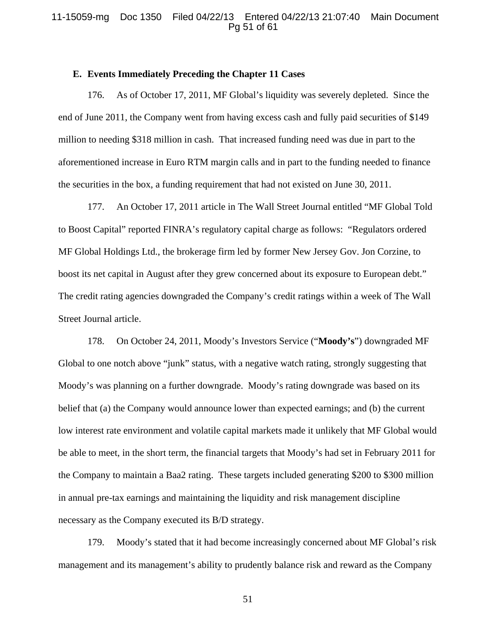## 11-15059-mg Doc 1350 Filed 04/22/13 Entered 04/22/13 21:07:40 Main Document Pg 51 of 61

#### **E. Events Immediately Preceding the Chapter 11 Cases**

176. As of October 17, 2011, MF Global's liquidity was severely depleted. Since the end of June 2011, the Company went from having excess cash and fully paid securities of \$149 million to needing \$318 million in cash. That increased funding need was due in part to the aforementioned increase in Euro RTM margin calls and in part to the funding needed to finance the securities in the box, a funding requirement that had not existed on June 30, 2011.

177. An October 17, 2011 article in The Wall Street Journal entitled "MF Global Told to Boost Capital" reported FINRA's regulatory capital charge as follows: "Regulators ordered MF Global Holdings Ltd., the brokerage firm led by former New Jersey Gov. Jon Corzine, to boost its net capital in August after they grew concerned about its exposure to European debt." The credit rating agencies downgraded the Company's credit ratings within a week of The Wall Street Journal article.

178. On October 24, 2011, Moody's Investors Service ("**Moody's**") downgraded MF Global to one notch above "junk" status, with a negative watch rating, strongly suggesting that Moody's was planning on a further downgrade. Moody's rating downgrade was based on its belief that (a) the Company would announce lower than expected earnings; and (b) the current low interest rate environment and volatile capital markets made it unlikely that MF Global would be able to meet, in the short term, the financial targets that Moody's had set in February 2011 for the Company to maintain a Baa2 rating. These targets included generating \$200 to \$300 million in annual pre-tax earnings and maintaining the liquidity and risk management discipline necessary as the Company executed its B/D strategy.

179. Moody's stated that it had become increasingly concerned about MF Global's risk management and its management's ability to prudently balance risk and reward as the Company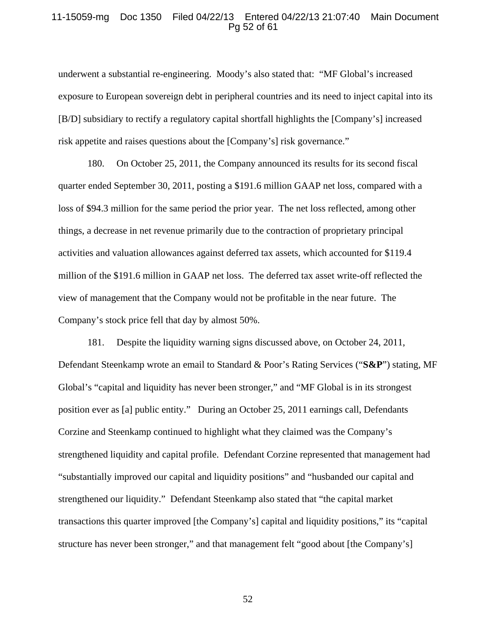#### 11-15059-mg Doc 1350 Filed 04/22/13 Entered 04/22/13 21:07:40 Main Document Pg 52 of 61

underwent a substantial re-engineering. Moody's also stated that: "MF Global's increased exposure to European sovereign debt in peripheral countries and its need to inject capital into its [B/D] subsidiary to rectify a regulatory capital shortfall highlights the [Company's] increased risk appetite and raises questions about the [Company's] risk governance."

180. On October 25, 2011, the Company announced its results for its second fiscal quarter ended September 30, 2011, posting a \$191.6 million GAAP net loss, compared with a loss of \$94.3 million for the same period the prior year. The net loss reflected, among other things, a decrease in net revenue primarily due to the contraction of proprietary principal activities and valuation allowances against deferred tax assets, which accounted for \$119.4 million of the \$191.6 million in GAAP net loss. The deferred tax asset write-off reflected the view of management that the Company would not be profitable in the near future. The Company's stock price fell that day by almost 50%.

181. Despite the liquidity warning signs discussed above, on October 24, 2011, Defendant Steenkamp wrote an email to Standard & Poor's Rating Services ("**S&P**") stating, MF Global's "capital and liquidity has never been stronger," and "MF Global is in its strongest position ever as [a] public entity." During an October 25, 2011 earnings call, Defendants Corzine and Steenkamp continued to highlight what they claimed was the Company's strengthened liquidity and capital profile. Defendant Corzine represented that management had "substantially improved our capital and liquidity positions" and "husbanded our capital and strengthened our liquidity." Defendant Steenkamp also stated that "the capital market transactions this quarter improved [the Company's] capital and liquidity positions," its "capital structure has never been stronger," and that management felt "good about [the Company's]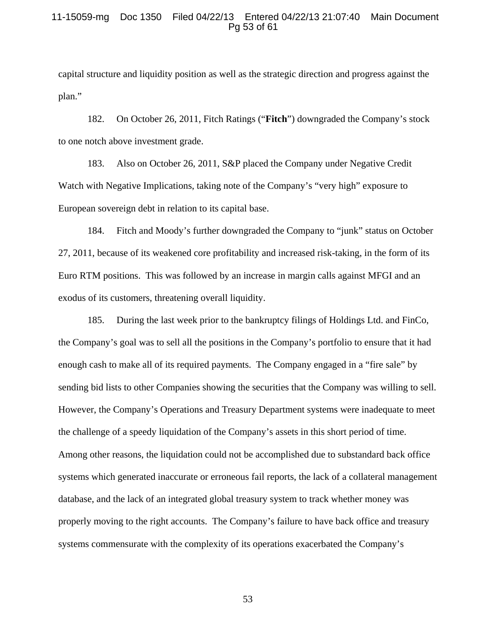## 11-15059-mg Doc 1350 Filed 04/22/13 Entered 04/22/13 21:07:40 Main Document Pg 53 of 61

capital structure and liquidity position as well as the strategic direction and progress against the plan."

182. On October 26, 2011, Fitch Ratings ("**Fitch**") downgraded the Company's stock to one notch above investment grade.

183. Also on October 26, 2011, S&P placed the Company under Negative Credit Watch with Negative Implications, taking note of the Company's "very high" exposure to European sovereign debt in relation to its capital base.

184. Fitch and Moody's further downgraded the Company to "junk" status on October 27, 2011, because of its weakened core profitability and increased risk-taking, in the form of its Euro RTM positions. This was followed by an increase in margin calls against MFGI and an exodus of its customers, threatening overall liquidity.

185. During the last week prior to the bankruptcy filings of Holdings Ltd. and FinCo, the Company's goal was to sell all the positions in the Company's portfolio to ensure that it had enough cash to make all of its required payments. The Company engaged in a "fire sale" by sending bid lists to other Companies showing the securities that the Company was willing to sell. However, the Company's Operations and Treasury Department systems were inadequate to meet the challenge of a speedy liquidation of the Company's assets in this short period of time. Among other reasons, the liquidation could not be accomplished due to substandard back office systems which generated inaccurate or erroneous fail reports, the lack of a collateral management database, and the lack of an integrated global treasury system to track whether money was properly moving to the right accounts. The Company's failure to have back office and treasury systems commensurate with the complexity of its operations exacerbated the Company's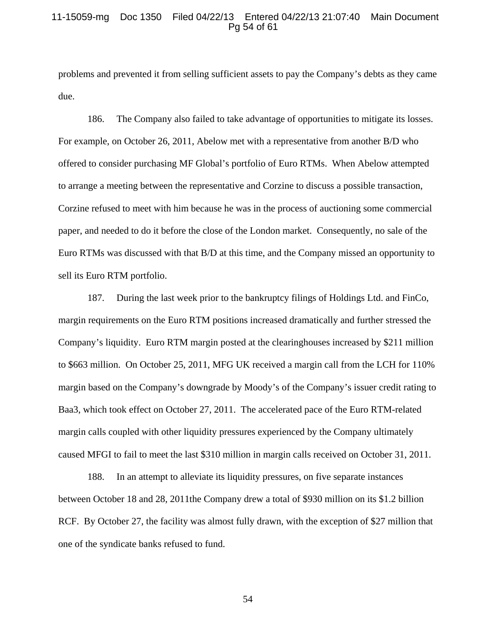### 11-15059-mg Doc 1350 Filed 04/22/13 Entered 04/22/13 21:07:40 Main Document Pg 54 of 61

problems and prevented it from selling sufficient assets to pay the Company's debts as they came due.

186. The Company also failed to take advantage of opportunities to mitigate its losses. For example, on October 26, 2011, Abelow met with a representative from another B/D who offered to consider purchasing MF Global's portfolio of Euro RTMs. When Abelow attempted to arrange a meeting between the representative and Corzine to discuss a possible transaction, Corzine refused to meet with him because he was in the process of auctioning some commercial paper, and needed to do it before the close of the London market. Consequently, no sale of the Euro RTMs was discussed with that B/D at this time, and the Company missed an opportunity to sell its Euro RTM portfolio.

187. During the last week prior to the bankruptcy filings of Holdings Ltd. and FinCo, margin requirements on the Euro RTM positions increased dramatically and further stressed the Company's liquidity. Euro RTM margin posted at the clearinghouses increased by \$211 million to \$663 million. On October 25, 2011, MFG UK received a margin call from the LCH for 110% margin based on the Company's downgrade by Moody's of the Company's issuer credit rating to Baa3, which took effect on October 27, 2011. The accelerated pace of the Euro RTM-related margin calls coupled with other liquidity pressures experienced by the Company ultimately caused MFGI to fail to meet the last \$310 million in margin calls received on October 31, 2011.

188. In an attempt to alleviate its liquidity pressures, on five separate instances between October 18 and 28, 2011the Company drew a total of \$930 million on its \$1.2 billion RCF. By October 27, the facility was almost fully drawn, with the exception of \$27 million that one of the syndicate banks refused to fund.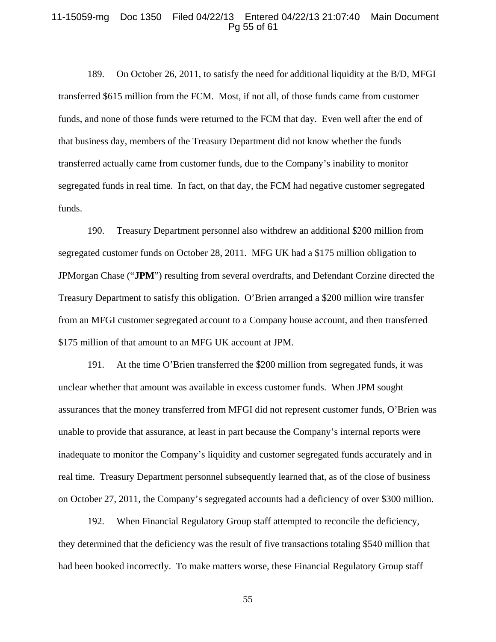#### 11-15059-mg Doc 1350 Filed 04/22/13 Entered 04/22/13 21:07:40 Main Document Pg 55 of 61

189. On October 26, 2011, to satisfy the need for additional liquidity at the B/D, MFGI transferred \$615 million from the FCM. Most, if not all, of those funds came from customer funds, and none of those funds were returned to the FCM that day. Even well after the end of that business day, members of the Treasury Department did not know whether the funds transferred actually came from customer funds, due to the Company's inability to monitor segregated funds in real time. In fact, on that day, the FCM had negative customer segregated funds.

190. Treasury Department personnel also withdrew an additional \$200 million from segregated customer funds on October 28, 2011. MFG UK had a \$175 million obligation to JPMorgan Chase ("**JPM**") resulting from several overdrafts, and Defendant Corzine directed the Treasury Department to satisfy this obligation. O'Brien arranged a \$200 million wire transfer from an MFGI customer segregated account to a Company house account, and then transferred \$175 million of that amount to an MFG UK account at JPM.

191. At the time O'Brien transferred the \$200 million from segregated funds, it was unclear whether that amount was available in excess customer funds. When JPM sought assurances that the money transferred from MFGI did not represent customer funds, O'Brien was unable to provide that assurance, at least in part because the Company's internal reports were inadequate to monitor the Company's liquidity and customer segregated funds accurately and in real time. Treasury Department personnel subsequently learned that, as of the close of business on October 27, 2011, the Company's segregated accounts had a deficiency of over \$300 million.

192. When Financial Regulatory Group staff attempted to reconcile the deficiency, they determined that the deficiency was the result of five transactions totaling \$540 million that had been booked incorrectly. To make matters worse, these Financial Regulatory Group staff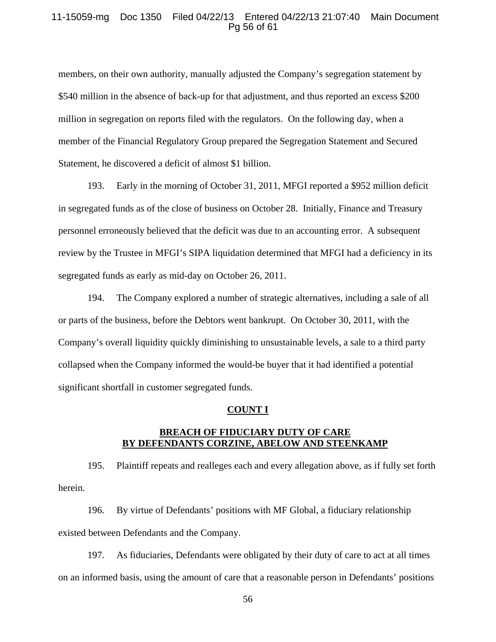## 11-15059-mg Doc 1350 Filed 04/22/13 Entered 04/22/13 21:07:40 Main Document Pg 56 of 61

members, on their own authority, manually adjusted the Company's segregation statement by \$540 million in the absence of back-up for that adjustment, and thus reported an excess \$200 million in segregation on reports filed with the regulators. On the following day, when a member of the Financial Regulatory Group prepared the Segregation Statement and Secured Statement, he discovered a deficit of almost \$1 billion.

193. Early in the morning of October 31, 2011, MFGI reported a \$952 million deficit in segregated funds as of the close of business on October 28. Initially, Finance and Treasury personnel erroneously believed that the deficit was due to an accounting error. A subsequent review by the Trustee in MFGI's SIPA liquidation determined that MFGI had a deficiency in its segregated funds as early as mid-day on October 26, 2011.

194. The Company explored a number of strategic alternatives, including a sale of all or parts of the business, before the Debtors went bankrupt. On October 30, 2011, with the Company's overall liquidity quickly diminishing to unsustainable levels, a sale to a third party collapsed when the Company informed the would-be buyer that it had identified a potential significant shortfall in customer segregated funds.

## **COUNT I**

## **BREACH OF FIDUCIARY DUTY OF CARE BY DEFENDANTS CORZINE, ABELOW AND STEENKAMP**

195. Plaintiff repeats and realleges each and every allegation above, as if fully set forth herein.

196. By virtue of Defendants' positions with MF Global, a fiduciary relationship existed between Defendants and the Company.

197. As fiduciaries, Defendants were obligated by their duty of care to act at all times on an informed basis, using the amount of care that a reasonable person in Defendants' positions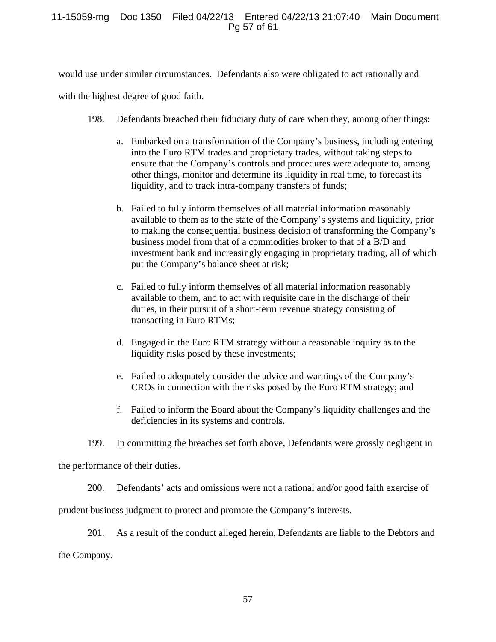# 11-15059-mg Doc 1350 Filed 04/22/13 Entered 04/22/13 21:07:40 Main Document Pg 57 of 61

would use under similar circumstances. Defendants also were obligated to act rationally and

with the highest degree of good faith.

- 198. Defendants breached their fiduciary duty of care when they, among other things:
	- a. Embarked on a transformation of the Company's business, including entering into the Euro RTM trades and proprietary trades, without taking steps to ensure that the Company's controls and procedures were adequate to, among other things, monitor and determine its liquidity in real time, to forecast its liquidity, and to track intra-company transfers of funds;
	- b. Failed to fully inform themselves of all material information reasonably available to them as to the state of the Company's systems and liquidity, prior to making the consequential business decision of transforming the Company's business model from that of a commodities broker to that of a B/D and investment bank and increasingly engaging in proprietary trading, all of which put the Company's balance sheet at risk;
	- c. Failed to fully inform themselves of all material information reasonably available to them, and to act with requisite care in the discharge of their duties, in their pursuit of a short-term revenue strategy consisting of transacting in Euro RTMs;
	- d. Engaged in the Euro RTM strategy without a reasonable inquiry as to the liquidity risks posed by these investments;
	- e. Failed to adequately consider the advice and warnings of the Company's CROs in connection with the risks posed by the Euro RTM strategy; and
	- f. Failed to inform the Board about the Company's liquidity challenges and the deficiencies in its systems and controls.

199. In committing the breaches set forth above, Defendants were grossly negligent in

the performance of their duties.

200. Defendants' acts and omissions were not a rational and/or good faith exercise of

prudent business judgment to protect and promote the Company's interests.

201. As a result of the conduct alleged herein, Defendants are liable to the Debtors and the Company.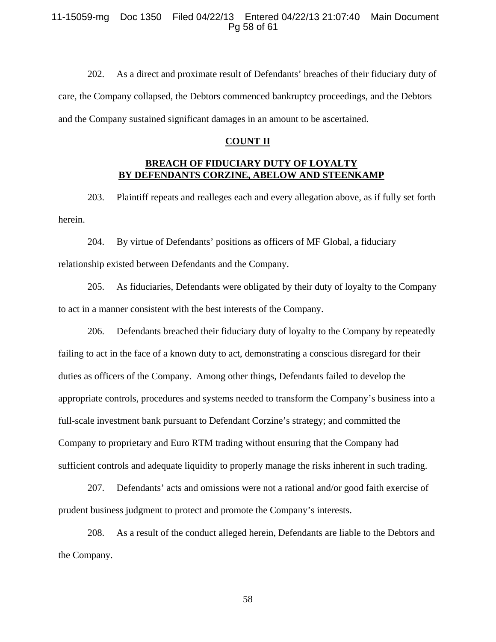## 11-15059-mg Doc 1350 Filed 04/22/13 Entered 04/22/13 21:07:40 Main Document Pg 58 of 61

202. As a direct and proximate result of Defendants' breaches of their fiduciary duty of care, the Company collapsed, the Debtors commenced bankruptcy proceedings, and the Debtors and the Company sustained significant damages in an amount to be ascertained.

#### **COUNT II**

## **BREACH OF FIDUCIARY DUTY OF LOYALTY BY DEFENDANTS CORZINE, ABELOW AND STEENKAMP**

203. Plaintiff repeats and realleges each and every allegation above, as if fully set forth herein.

204. By virtue of Defendants' positions as officers of MF Global, a fiduciary relationship existed between Defendants and the Company.

205. As fiduciaries, Defendants were obligated by their duty of loyalty to the Company to act in a manner consistent with the best interests of the Company.

206. Defendants breached their fiduciary duty of loyalty to the Company by repeatedly failing to act in the face of a known duty to act, demonstrating a conscious disregard for their duties as officers of the Company. Among other things, Defendants failed to develop the appropriate controls, procedures and systems needed to transform the Company's business into a full-scale investment bank pursuant to Defendant Corzine's strategy; and committed the Company to proprietary and Euro RTM trading without ensuring that the Company had sufficient controls and adequate liquidity to properly manage the risks inherent in such trading.

207. Defendants' acts and omissions were not a rational and/or good faith exercise of prudent business judgment to protect and promote the Company's interests.

208. As a result of the conduct alleged herein, Defendants are liable to the Debtors and the Company.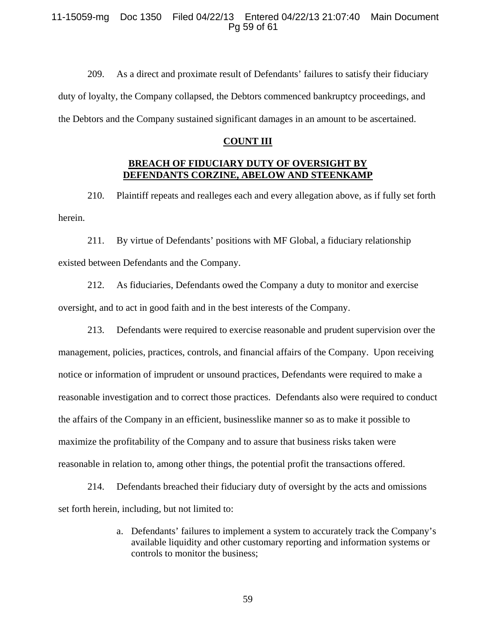## 11-15059-mg Doc 1350 Filed 04/22/13 Entered 04/22/13 21:07:40 Main Document Pg 59 of 61

209. As a direct and proximate result of Defendants' failures to satisfy their fiduciary duty of loyalty, the Company collapsed, the Debtors commenced bankruptcy proceedings, and the Debtors and the Company sustained significant damages in an amount to be ascertained.

#### **COUNT III**

## **BREACH OF FIDUCIARY DUTY OF OVERSIGHT BY DEFENDANTS CORZINE, ABELOW AND STEENKAMP**

210. Plaintiff repeats and realleges each and every allegation above, as if fully set forth herein.

211. By virtue of Defendants' positions with MF Global, a fiduciary relationship existed between Defendants and the Company.

212. As fiduciaries, Defendants owed the Company a duty to monitor and exercise oversight, and to act in good faith and in the best interests of the Company.

213. Defendants were required to exercise reasonable and prudent supervision over the management, policies, practices, controls, and financial affairs of the Company. Upon receiving notice or information of imprudent or unsound practices, Defendants were required to make a reasonable investigation and to correct those practices. Defendants also were required to conduct the affairs of the Company in an efficient, businesslike manner so as to make it possible to maximize the profitability of the Company and to assure that business risks taken were reasonable in relation to, among other things, the potential profit the transactions offered.

214. Defendants breached their fiduciary duty of oversight by the acts and omissions set forth herein, including, but not limited to:

> a. Defendants' failures to implement a system to accurately track the Company's available liquidity and other customary reporting and information systems or controls to monitor the business;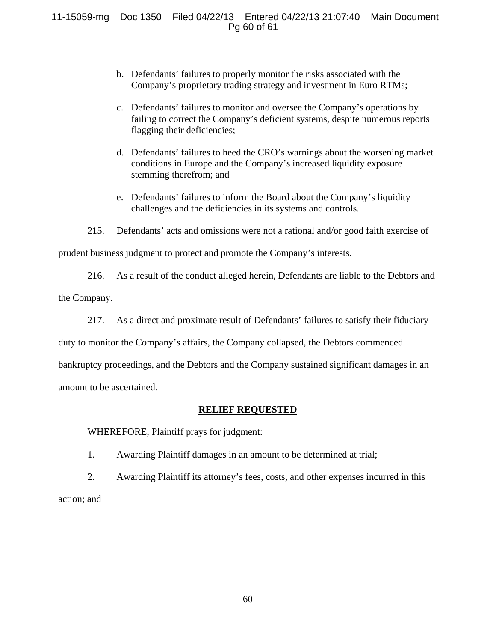11-15059-mg Doc 1350 Filed 04/22/13 Entered 04/22/13 21:07:40 Main Document Pg 60 of 61

- b. Defendants' failures to properly monitor the risks associated with the Company's proprietary trading strategy and investment in Euro RTMs;
- c. Defendants' failures to monitor and oversee the Company's operations by failing to correct the Company's deficient systems, despite numerous reports flagging their deficiencies;
- d. Defendants' failures to heed the CRO's warnings about the worsening market conditions in Europe and the Company's increased liquidity exposure stemming therefrom; and
- e. Defendants' failures to inform the Board about the Company's liquidity challenges and the deficiencies in its systems and controls.
- 215. Defendants' acts and omissions were not a rational and/or good faith exercise of

prudent business judgment to protect and promote the Company's interests.

216. As a result of the conduct alleged herein, Defendants are liable to the Debtors and

the Company.

217. As a direct and proximate result of Defendants' failures to satisfy their fiduciary

duty to monitor the Company's affairs, the Company collapsed, the Debtors commenced

bankruptcy proceedings, and the Debtors and the Company sustained significant damages in an

amount to be ascertained.

# **RELIEF REQUESTED**

WHEREFORE, Plaintiff prays for judgment:

1. Awarding Plaintiff damages in an amount to be determined at trial;

2. Awarding Plaintiff its attorney's fees, costs, and other expenses incurred in this action; and